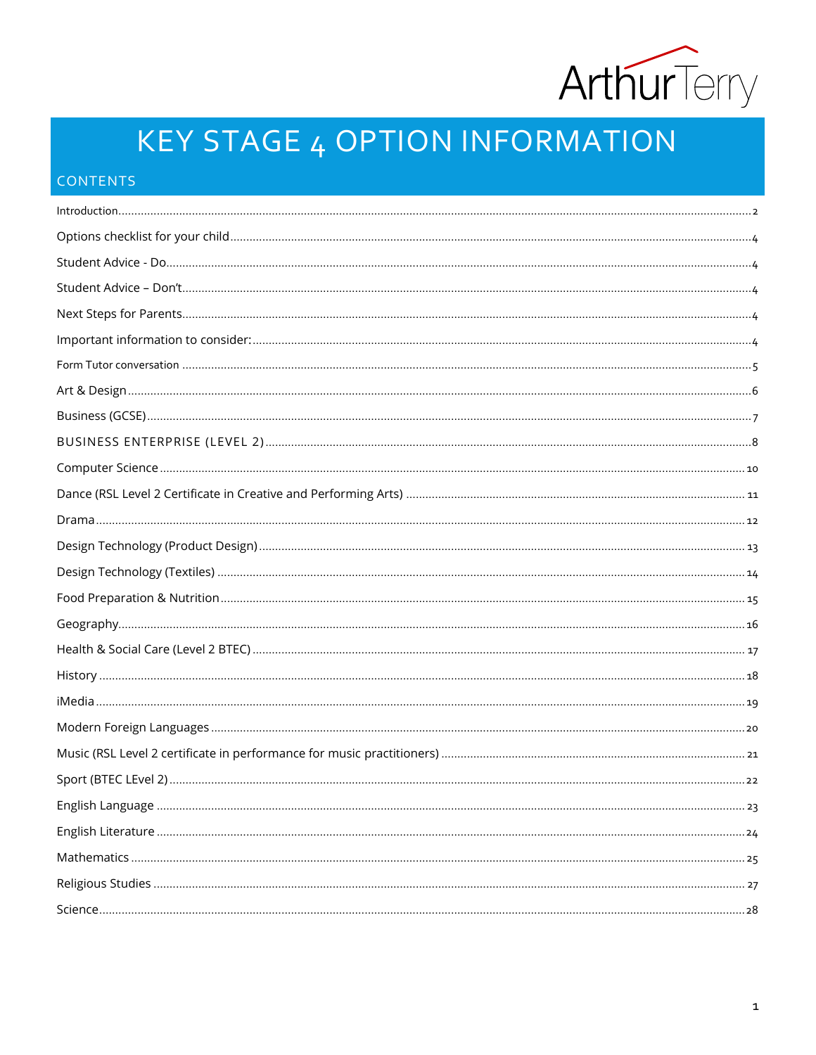

# **KEY STAGE 4 OPTION INFORMATION**

## CONTENTS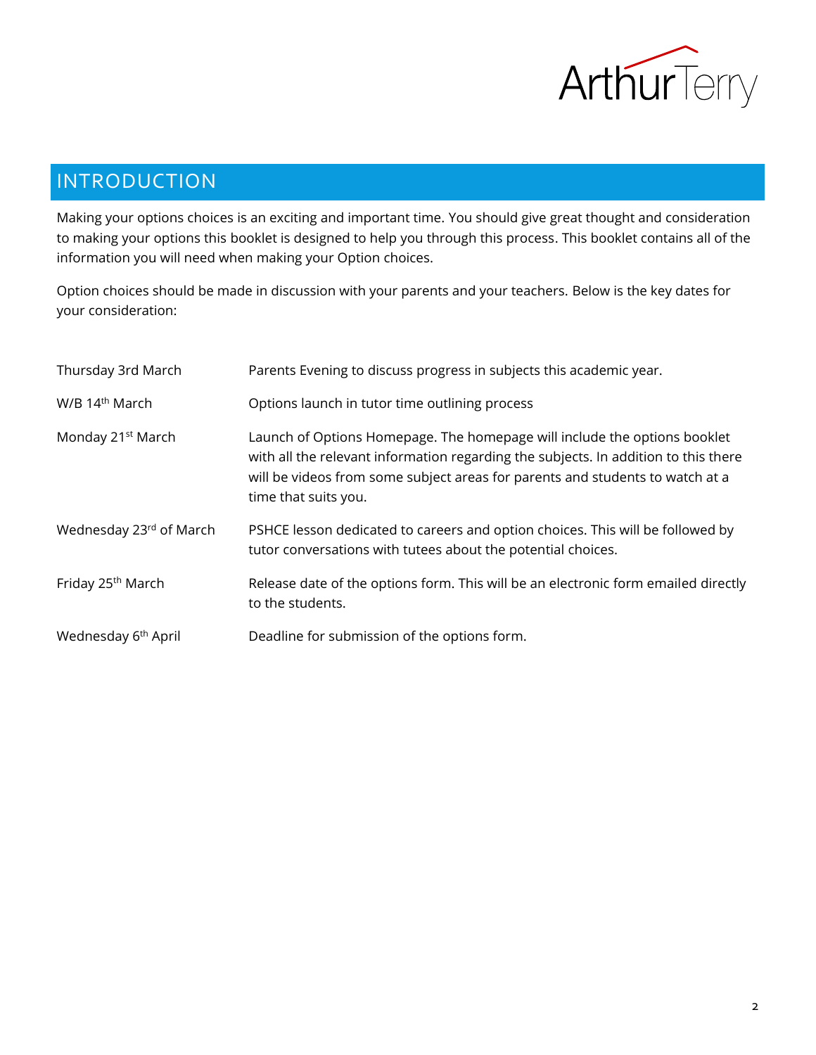

# <span id="page-1-0"></span>INTRODUCTION

Making your options choices is an exciting and important time. You should give great thought and consideration to making your options this booklet is designed to help you through this process. This booklet contains all of the information you will need when making your Option choices.

Option choices should be made in discussion with your parents and your teachers. Below is the key dates for your consideration:

| Thursday 3rd March              | Parents Evening to discuss progress in subjects this academic year.                                                                                                                                                                                                       |
|---------------------------------|---------------------------------------------------------------------------------------------------------------------------------------------------------------------------------------------------------------------------------------------------------------------------|
| W/B 14 <sup>th</sup> March      | Options launch in tutor time outlining process                                                                                                                                                                                                                            |
| Monday 21 <sup>st</sup> March   | Launch of Options Homepage. The homepage will include the options booklet<br>with all the relevant information regarding the subjects. In addition to this there<br>will be videos from some subject areas for parents and students to watch at a<br>time that suits you. |
| Wednesday 23rd of March         | PSHCE lesson dedicated to careers and option choices. This will be followed by<br>tutor conversations with tutees about the potential choices.                                                                                                                            |
| Friday 25 <sup>th</sup> March   | Release date of the options form. This will be an electronic form emailed directly<br>to the students.                                                                                                                                                                    |
| Wednesday 6 <sup>th</sup> April | Deadline for submission of the options form.                                                                                                                                                                                                                              |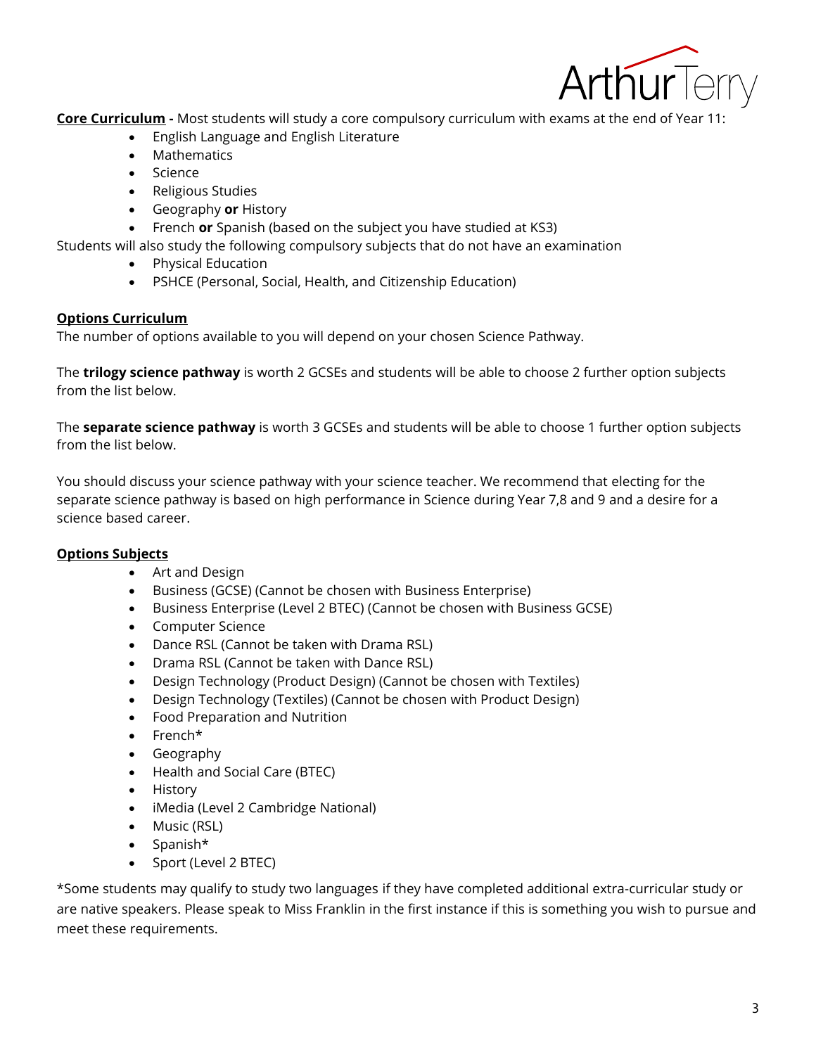

**Core Curriculum -** Most students will study a core compulsory curriculum with exams at the end of Year 11:

- English Language and English Literature
- Mathematics
- Science
- Religious Studies
- Geography **or** History
- French **or** Spanish (based on the subject you have studied at KS3)

Students will also study the following compulsory subjects that do not have an examination

- Physical Education
- PSHCE (Personal, Social, Health, and Citizenship Education)

## **Options Curriculum**

The number of options available to you will depend on your chosen Science Pathway.

The **trilogy science pathway** is worth 2 GCSEs and students will be able to choose 2 further option subjects from the list below.

The **separate science pathway** is worth 3 GCSEs and students will be able to choose 1 further option subjects from the list below.

You should discuss your science pathway with your science teacher. We recommend that electing for the separate science pathway is based on high performance in Science during Year 7,8 and 9 and a desire for a science based career.

## **Options Subjects**

- Art and Design
- Business (GCSE) (Cannot be chosen with Business Enterprise)
- Business Enterprise (Level 2 BTEC) (Cannot be chosen with Business GCSE)
- Computer Science
- Dance RSL (Cannot be taken with Drama RSL)
- Drama RSL (Cannot be taken with Dance RSL)
- Design Technology (Product Design) (Cannot be chosen with Textiles)
- Design Technology (Textiles) (Cannot be chosen with Product Design)
- Food Preparation and Nutrition
- French\*
- Geography
- Health and Social Care (BTEC)
- History
- iMedia (Level 2 Cambridge National)
- Music (RSL)
- Spanish\*
- Sport (Level 2 BTEC)

\*Some students may qualify to study two languages if they have completed additional extra-curricular study or are native speakers. Please speak to Miss Franklin in the first instance if this is something you wish to pursue and meet these requirements.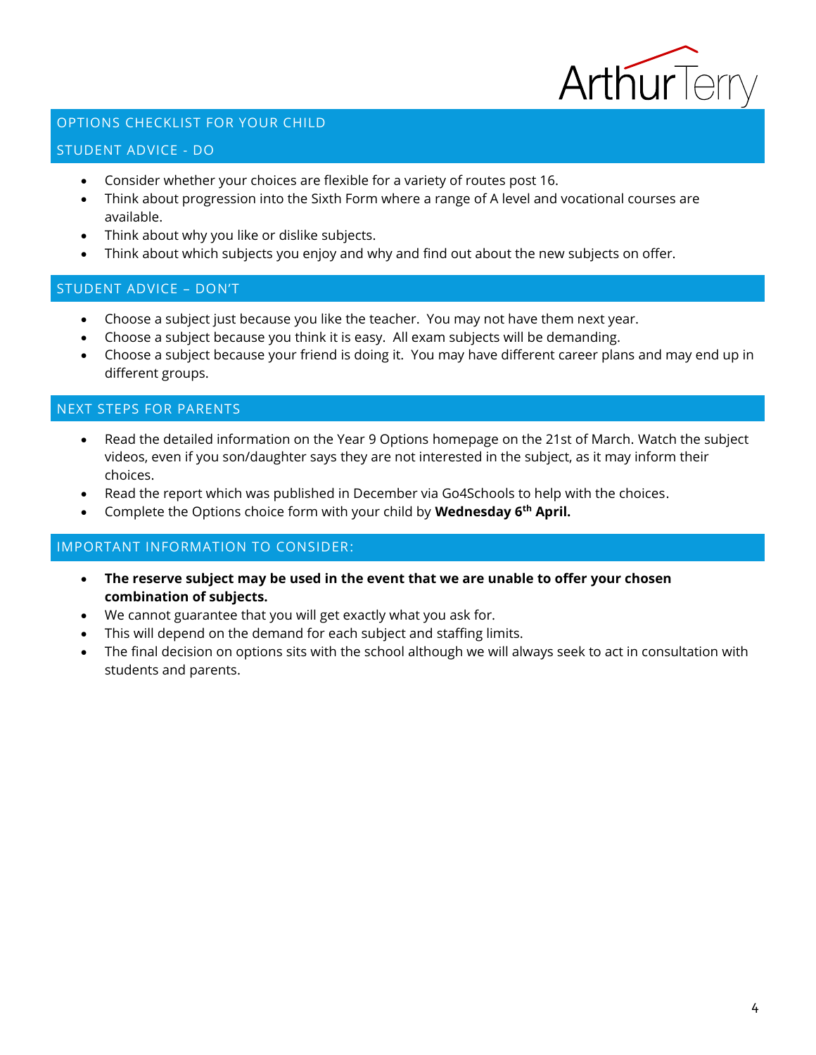

## <span id="page-3-0"></span>OPTIONS CHECKLIST FOR YOUR CHILD

## <span id="page-3-1"></span>STUDENT ADVICE - DO

- Consider whether your choices are flexible for a variety of routes post 16.
- Think about progression into the Sixth Form where a range of A level and vocational courses are available.
- Think about why you like or dislike subjects.
- Think about which subjects you enjoy and why and find out about the new subjects on offer.

#### <span id="page-3-2"></span>STUDENT ADVICE – DON'T

- Choose a subject just because you like the teacher. You may not have them next year.
- Choose a subject because you think it is easy. All exam subjects will be demanding.
- Choose a subject because your friend is doing it. You may have different career plans and may end up in different groups.

## <span id="page-3-3"></span>NEXT STEPS FOR PARENTS

- Read the detailed information on the Year 9 Options homepage on the 21st of March. Watch the subject videos, even if you son/daughter says they are not interested in the subject, as it may inform their choices.
- Read the report which was published in December via Go4Schools to help with the choices.
- Complete the Options choice form with your child by **Wednesday 6th April.**

## <span id="page-3-4"></span>IMPORTANT INFORMATION TO CONSIDER:

- **The reserve subject may be used in the event that we are unable to offer your chosen combination of subjects.**
- We cannot guarantee that you will get exactly what you ask for.
- This will depend on the demand for each subject and staffing limits.
- The final decision on options sits with the school although we will always seek to act in consultation with students and parents.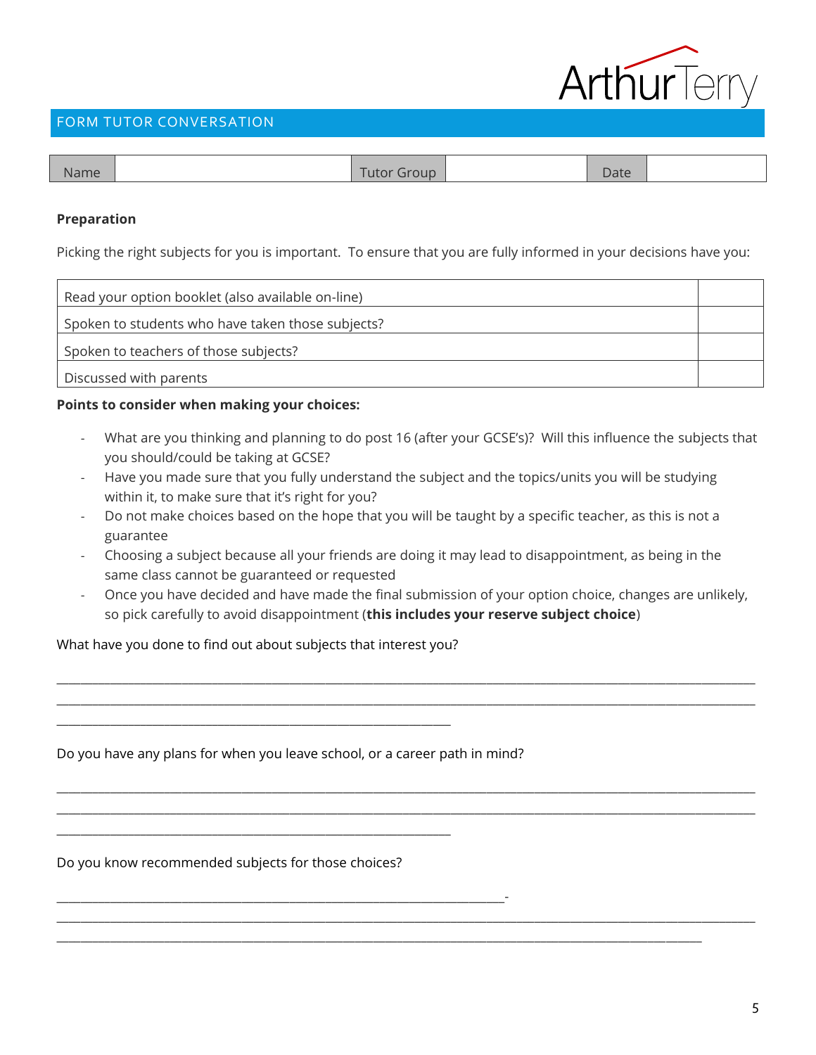

## <span id="page-4-0"></span>FORM TUTOR CONVERSATION

| <b>Name</b> | Tutor<br><b>OUD</b><br>- | Date |  |
|-------------|--------------------------|------|--|
|             |                          |      |  |

## **Preparation**

Picking the right subjects for you is important. To ensure that you are fully informed in your decisions have you:

| Read your option booklet (also available on-line) |  |
|---------------------------------------------------|--|
| Spoken to students who have taken those subjects? |  |
| Spoken to teachers of those subjects?             |  |
| Discussed with parents                            |  |

## **Points to consider when making your choices:**

- What are you thinking and planning to do post 16 (after your GCSE's)? Will this influence the subjects that you should/could be taking at GCSE?
- Have you made sure that you fully understand the subject and the topics/units you will be studying within it, to make sure that it's right for you?
- Do not make choices based on the hope that you will be taught by a specific teacher, as this is not a guarantee
- Choosing a subject because all your friends are doing it may lead to disappointment, as being in the same class cannot be guaranteed or requested
- Once you have decided and have made the final submission of your option choice, changes are unlikely, so pick carefully to avoid disappointment (**this includes your reserve subject choice**)

\_\_\_\_\_\_\_\_\_\_\_\_\_\_\_\_\_\_\_\_\_\_\_\_\_\_\_\_\_\_\_\_\_\_\_\_\_\_\_\_\_\_\_\_\_\_\_\_\_\_\_\_\_\_\_\_\_\_\_\_\_\_\_\_\_\_\_\_\_\_\_\_\_\_\_\_\_\_\_\_\_\_\_\_\_\_\_\_\_\_\_\_\_\_\_\_\_\_\_\_\_\_\_\_\_\_\_\_\_\_\_\_\_\_\_\_\_ \_\_\_\_\_\_\_\_\_\_\_\_\_\_\_\_\_\_\_\_\_\_\_\_\_\_\_\_\_\_\_\_\_\_\_\_\_\_\_\_\_\_\_\_\_\_\_\_\_\_\_\_\_\_\_\_\_\_\_\_\_\_\_\_\_\_\_\_\_\_\_\_\_\_\_\_\_\_\_\_\_\_\_\_\_\_\_\_\_\_\_\_\_\_\_\_\_\_\_\_\_\_\_\_\_\_\_\_\_\_\_\_\_\_\_\_\_

\_\_\_\_\_\_\_\_\_\_\_\_\_\_\_\_\_\_\_\_\_\_\_\_\_\_\_\_\_\_\_\_\_\_\_\_\_\_\_\_\_\_\_\_\_\_\_\_\_\_\_\_\_\_\_\_\_\_\_\_\_\_\_\_\_\_\_\_\_\_\_\_\_\_\_\_\_\_\_\_\_\_\_\_\_\_\_\_\_\_\_\_\_\_\_\_\_\_\_\_\_\_\_\_\_\_\_\_\_\_\_\_\_\_\_\_\_ \_\_\_\_\_\_\_\_\_\_\_\_\_\_\_\_\_\_\_\_\_\_\_\_\_\_\_\_\_\_\_\_\_\_\_\_\_\_\_\_\_\_\_\_\_\_\_\_\_\_\_\_\_\_\_\_\_\_\_\_\_\_\_\_\_\_\_\_\_\_\_\_\_\_\_\_\_\_\_\_\_\_\_\_\_\_\_\_\_\_\_\_\_\_\_\_\_\_\_\_\_\_\_\_\_\_\_\_\_\_\_\_\_\_\_\_\_

\_\_\_\_\_\_\_\_\_\_\_\_\_\_\_\_\_\_\_\_\_\_\_\_\_\_\_\_\_\_\_\_\_\_\_\_\_\_\_\_\_\_\_\_\_\_\_\_\_\_\_\_\_\_\_\_\_\_\_\_\_\_\_\_\_\_\_\_\_\_\_\_\_\_\_\_\_\_\_\_\_\_\_\_\_\_\_\_\_\_\_\_\_\_\_\_\_\_\_\_\_\_\_\_\_\_\_\_\_\_\_\_\_\_\_\_\_

\_\_\_\_\_\_\_\_\_\_\_\_\_\_\_\_\_\_\_\_\_\_\_\_\_\_\_\_\_\_\_\_\_\_\_\_\_\_\_\_\_\_\_\_\_\_\_\_\_\_\_\_\_\_\_\_\_\_\_\_\_\_\_\_\_\_\_\_\_\_\_\_\_\_\_\_\_\_\_\_\_\_\_\_\_\_\_\_\_\_\_\_\_\_\_\_\_\_\_\_\_\_\_\_\_\_\_\_

## What have you done to find out about subjects that interest you?

\_\_\_\_\_\_\_\_\_\_\_\_\_\_\_\_\_\_\_\_\_\_\_\_\_\_\_\_\_\_\_\_\_\_\_\_\_\_\_\_\_\_\_\_\_\_\_\_\_\_\_\_\_\_\_\_\_\_\_\_\_\_\_\_\_\_

\_\_\_\_\_\_\_\_\_\_\_\_\_\_\_\_\_\_\_\_\_\_\_\_\_\_\_\_\_\_\_\_\_\_\_\_\_\_\_\_\_\_\_\_\_\_\_\_\_\_\_\_\_\_\_\_\_\_\_\_\_\_\_\_\_\_

Do you have any plans for when you leave school, or a career path in mind?

\_\_\_\_\_\_\_\_\_\_\_\_\_\_\_\_\_\_\_\_\_\_\_\_\_\_\_\_\_\_\_\_\_\_\_\_\_\_\_\_\_\_\_\_\_\_\_\_\_\_\_\_\_\_\_\_\_\_\_\_\_\_\_\_\_\_\_\_\_\_\_\_\_\_\_-

Do you know recommended subjects for those choices?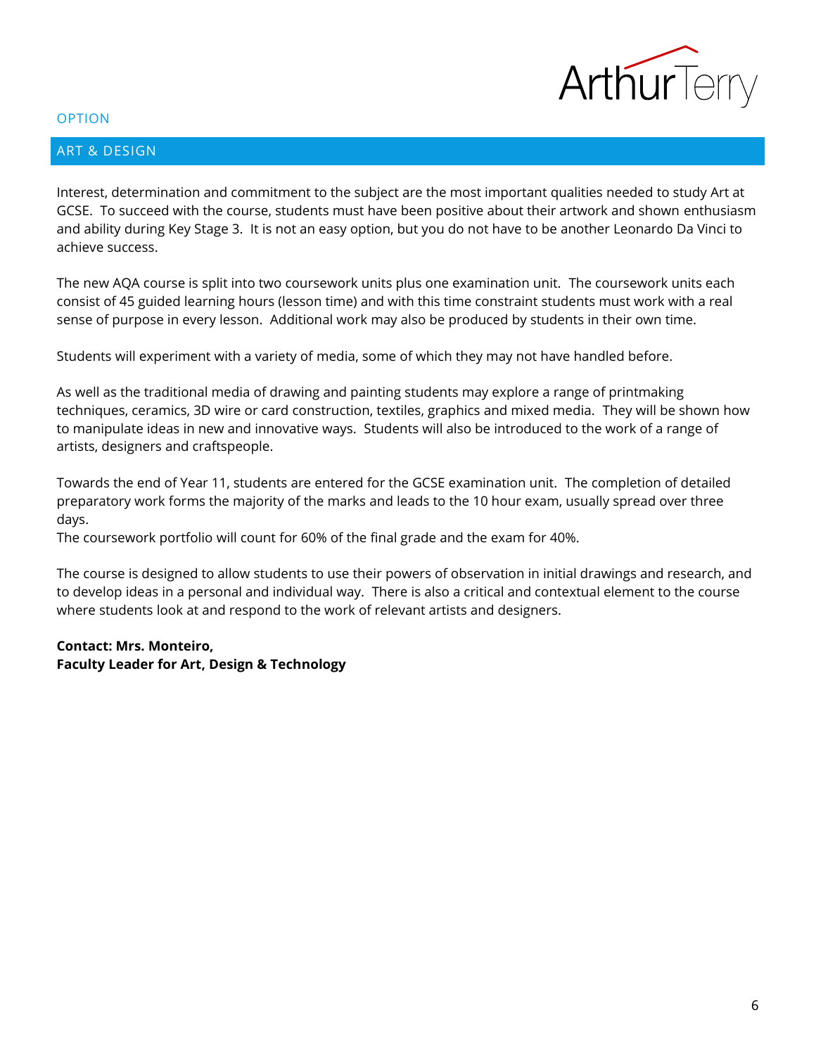

## <span id="page-5-0"></span>ART & DESIGN

Interest, determination and commitment to the subject are the most important qualities needed to study Art at GCSE. To succeed with the course, students must have been positive about their artwork and shown enthusiasm and ability during Key Stage 3. It is not an easy option, but you do not have to be another Leonardo Da Vinci to achieve success.

The new AQA course is split into two coursework units plus one examination unit. The coursework units each consist of 45 guided learning hours (lesson time) and with this time constraint students must work with a real sense of purpose in every lesson. Additional work may also be produced by students in their own time.

Students will experiment with a variety of media, some of which they may not have handled before.

As well as the traditional media of drawing and painting students may explore a range of printmaking techniques, ceramics, 3D wire or card construction, textiles, graphics and mixed media. They will be shown how to manipulate ideas in new and innovative ways. Students will also be introduced to the work of a range of artists, designers and craftspeople.

Towards the end of Year 11, students are entered for the GCSE examination unit. The completion of detailed preparatory work forms the majority of the marks and leads to the 10 hour exam, usually spread over three days.

The coursework portfolio will count for 60% of the final grade and the exam for 40%.

The course is designed to allow students to use their powers of observation in initial drawings and research, and to develop ideas in a personal and individual way. There is also a critical and contextual element to the course where students look at and respond to the work of relevant artists and designers.

## **Contact: Mrs. Monteiro, Faculty Leader for Art, Design & Technology**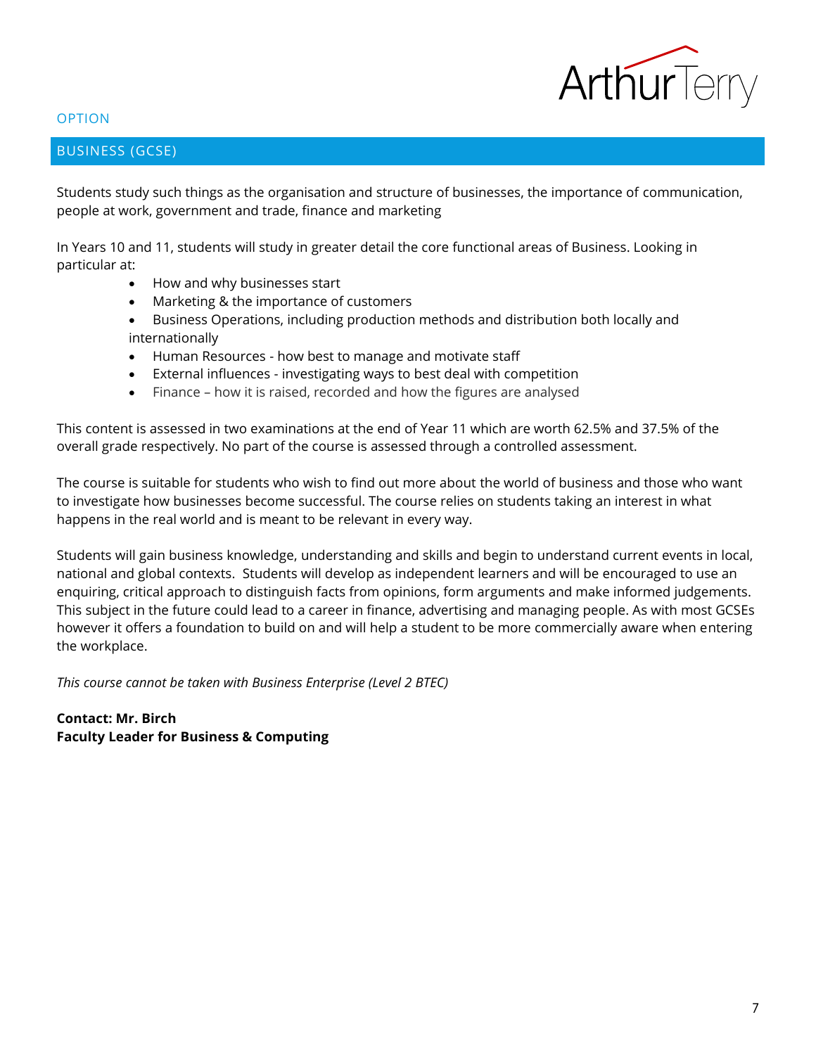

## <span id="page-6-0"></span>BUSINESS (GCSE)

Students study such things as the organisation and structure of businesses, the importance of communication, people at work, government and trade, finance and marketing

In Years 10 and 11, students will study in greater detail the core functional areas of Business. Looking in particular at:

- How and why businesses start
- Marketing & the importance of customers
- Business Operations, including production methods and distribution both locally and internationally
- Human Resources how best to manage and motivate staff
- External influences investigating ways to best deal with competition
- Finance how it is raised, recorded and how the figures are analysed

This content is assessed in two examinations at the end of Year 11 which are worth 62.5% and 37.5% of the overall grade respectively. No part of the course is assessed through a controlled assessment.

The course is suitable for students who wish to find out more about the world of business and those who want to investigate how businesses become successful. The course relies on students taking an interest in what happens in the real world and is meant to be relevant in every way.

Students will gain business knowledge, understanding and skills and begin to understand current events in local, national and global contexts. Students will develop as independent learners and will be encouraged to use an enquiring, critical approach to distinguish facts from opinions, form arguments and make informed judgements. This subject in the future could lead to a career in finance, advertising and managing people. As with most GCSEs however it offers a foundation to build on and will help a student to be more commercially aware when entering the workplace.

*This course cannot be taken with Business Enterprise (Level 2 BTEC)*

**Contact: Mr. Birch Faculty Leader for Business & Computing**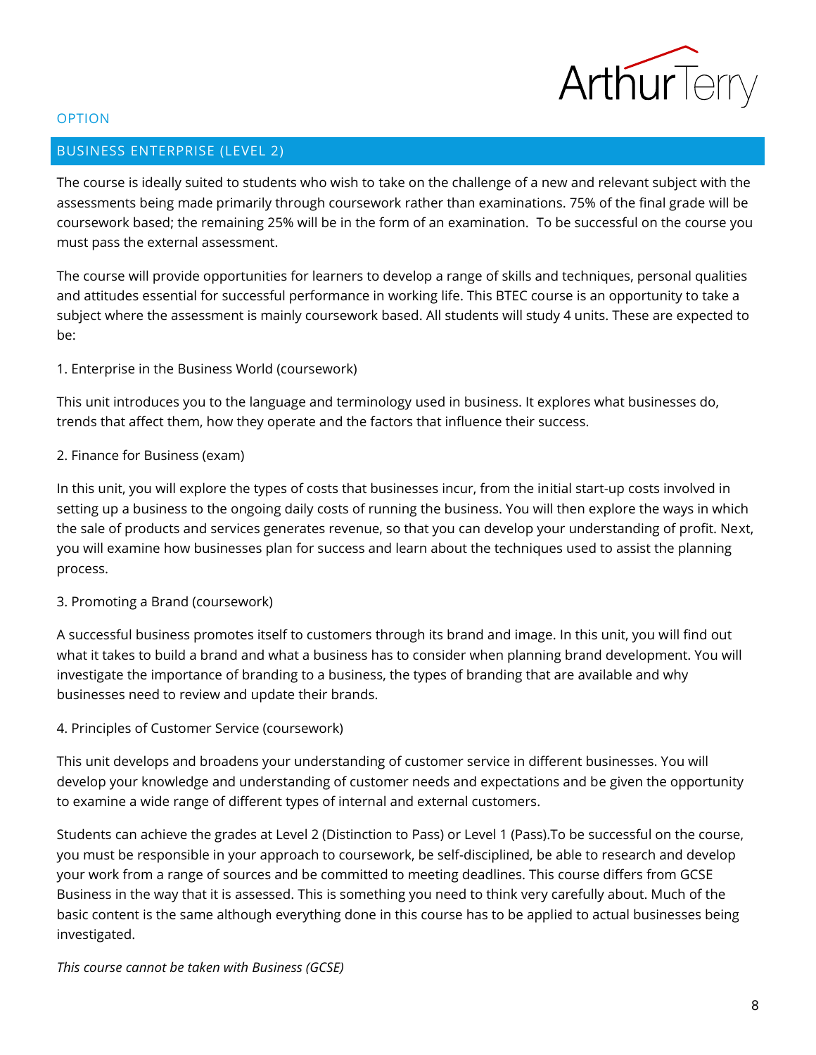

## <span id="page-7-0"></span>BUSINESS ENTERPRISE (LEVEL 2)

The course is ideally suited to students who wish to take on the challenge of a new and relevant subject with the assessments being made primarily through coursework rather than examinations. 75% of the final grade will be coursework based; the remaining 25% will be in the form of an examination. To be successful on the course you must pass the external assessment.

The course will provide opportunities for learners to develop a range of skills and techniques, personal qualities and attitudes essential for successful performance in working life. This BTEC course is an opportunity to take a subject where the assessment is mainly coursework based. All students will study 4 units. These are expected to be:

## 1. Enterprise in the Business World (coursework)

This unit introduces you to the language and terminology used in business. It explores what businesses do, trends that affect them, how they operate and the factors that influence their success.

## 2. Finance for Business (exam)

In this unit, you will explore the types of costs that businesses incur, from the initial start-up costs involved in setting up a business to the ongoing daily costs of running the business. You will then explore the ways in which the sale of products and services generates revenue, so that you can develop your understanding of profit. Next, you will examine how businesses plan for success and learn about the techniques used to assist the planning process.

## 3. Promoting a Brand (coursework)

A successful business promotes itself to customers through its brand and image. In this unit, you will find out what it takes to build a brand and what a business has to consider when planning brand development. You will investigate the importance of branding to a business, the types of branding that are available and why businesses need to review and update their brands.

## 4. Principles of Customer Service (coursework)

This unit develops and broadens your understanding of customer service in different businesses. You will develop your knowledge and understanding of customer needs and expectations and be given the opportunity to examine a wide range of different types of internal and external customers.

Students can achieve the grades at Level 2 (Distinction to Pass) or Level 1 (Pass).To be successful on the course, you must be responsible in your approach to coursework, be self-disciplined, be able to research and develop your work from a range of sources and be committed to meeting deadlines. This course differs from GCSE Business in the way that it is assessed. This is something you need to think very carefully about. Much of the basic content is the same although everything done in this course has to be applied to actual businesses being investigated.

## *This course cannot be taken with Business (GCSE)*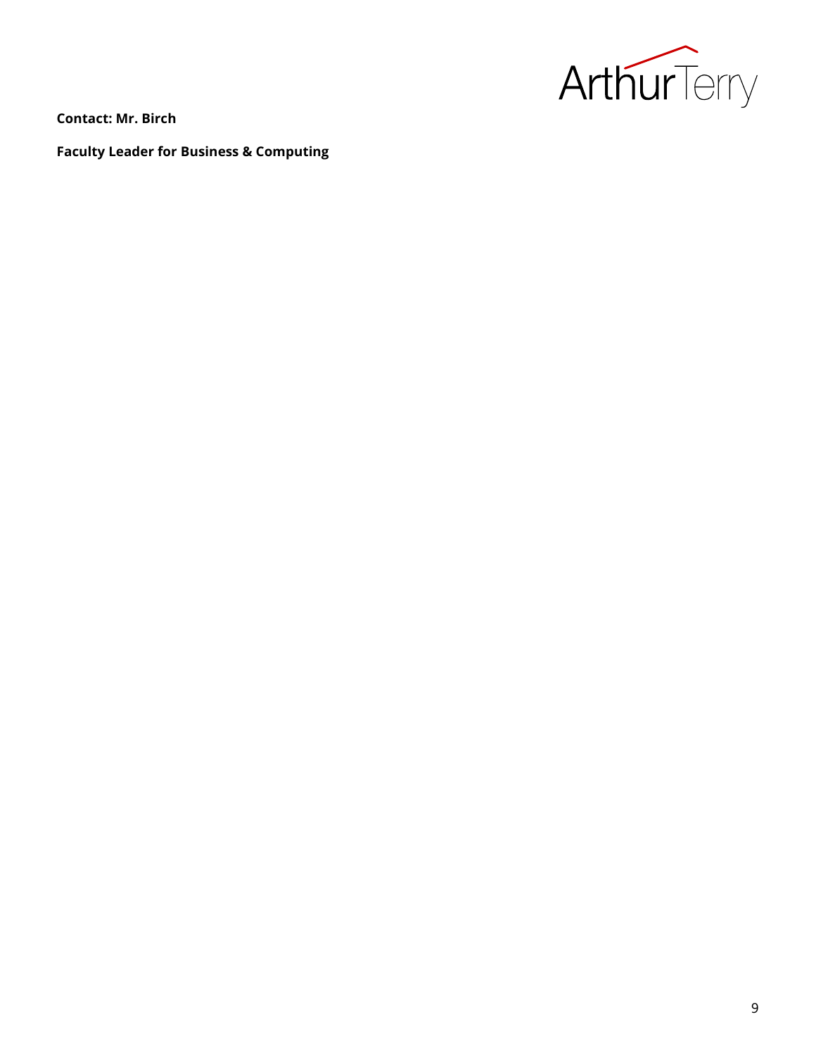

**Contact: Mr. Birch**

**Faculty Leader for Business & Computing**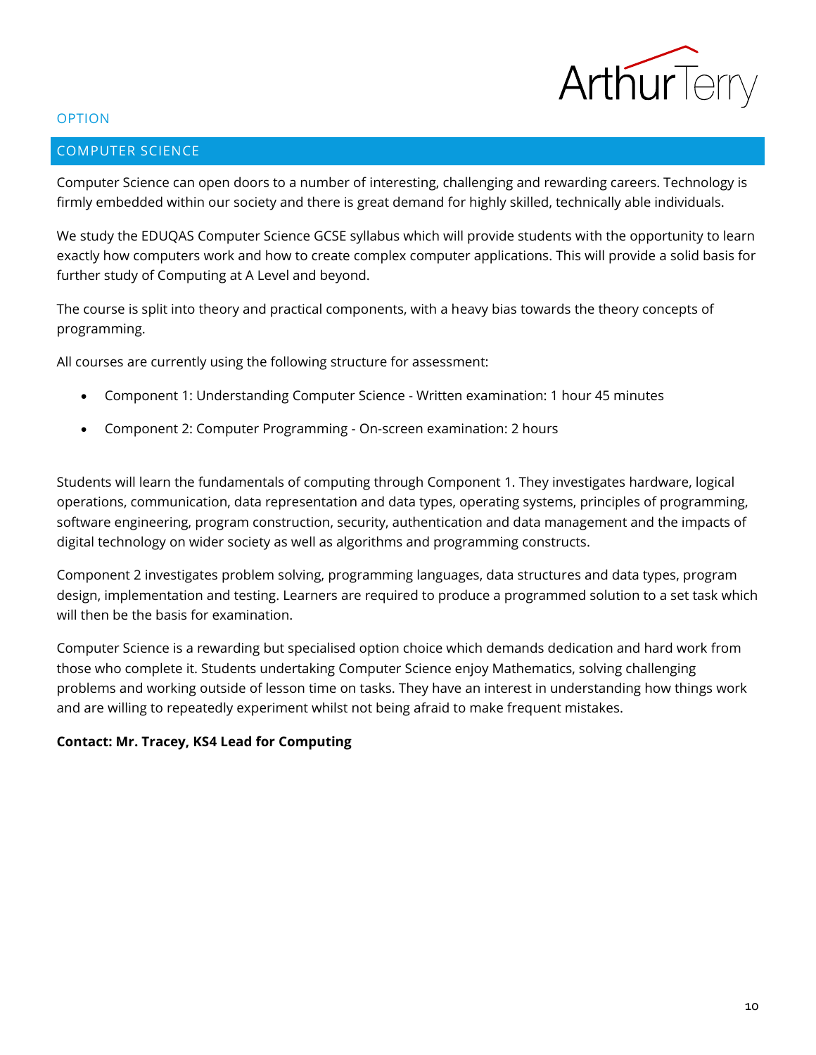

## <span id="page-9-0"></span>COMPUTER SCIENCE

Computer Science can open doors to a number of interesting, challenging and rewarding careers. Technology is firmly embedded within our society and there is great demand for highly skilled, technically able individuals.

We study the EDUQAS Computer Science GCSE syllabus which will provide students with the opportunity to learn exactly how computers work and how to create complex computer applications. This will provide a solid basis for further study of Computing at A Level and beyond.

The course is split into theory and practical components, with a heavy bias towards the theory concepts of programming.

All courses are currently using the following structure for assessment:

- Component 1: Understanding Computer Science Written examination: 1 hour 45 minutes
- Component 2: Computer Programming On-screen examination: 2 hours

Students will learn the fundamentals of computing through Component 1. They investigates hardware, logical operations, communication, data representation and data types, operating systems, principles of programming, software engineering, program construction, security, authentication and data management and the impacts of digital technology on wider society as well as algorithms and programming constructs.

Component 2 investigates problem solving, programming languages, data structures and data types, program design, implementation and testing. Learners are required to produce a programmed solution to a set task which will then be the basis for examination.

Computer Science is a rewarding but specialised option choice which demands dedication and hard work from those who complete it. Students undertaking Computer Science enjoy Mathematics, solving challenging problems and working outside of lesson time on tasks. They have an interest in understanding how things work and are willing to repeatedly experiment whilst not being afraid to make frequent mistakes.

## **Contact: Mr. Tracey, KS4 Lead for Computing**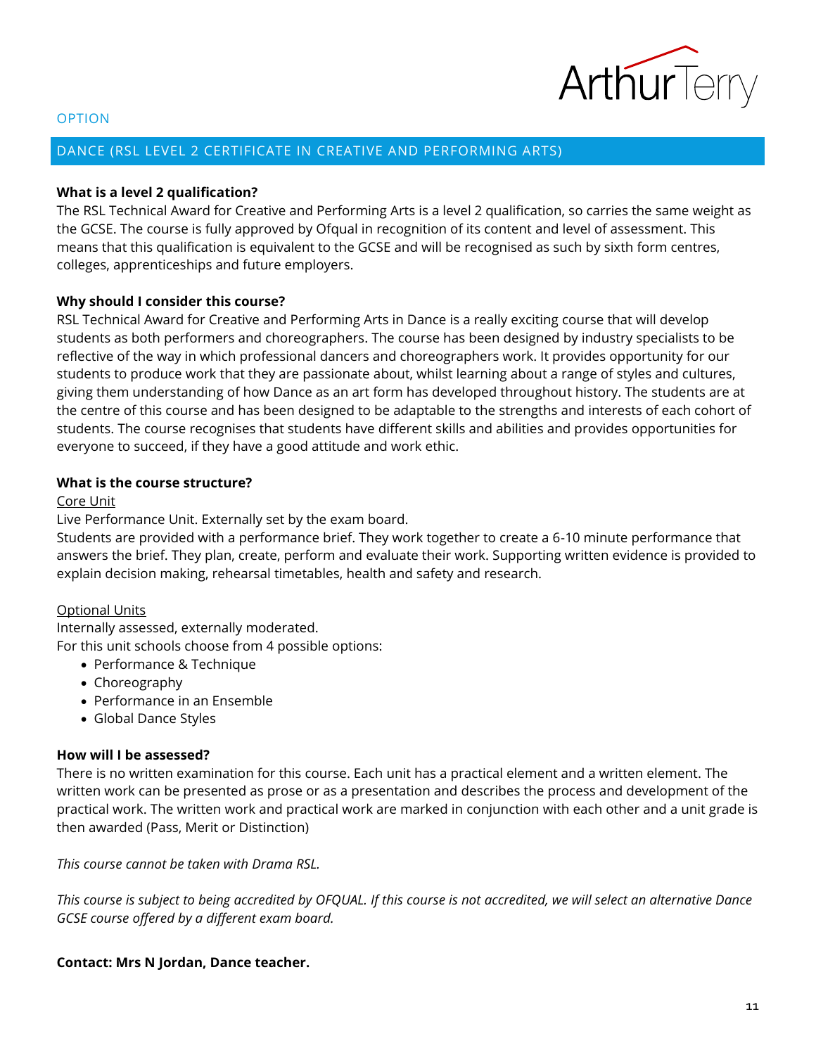

## <span id="page-10-0"></span>DANCE (RSL LEVEL 2 CERTIFICATE IN CREATIVE AND PERFORMING ARTS)

#### **What is a level 2 qualification?**

The RSL Technical Award for Creative and Performing Arts is a level 2 qualification, so carries the same weight as the GCSE. The course is fully approved by Ofqual in recognition of its content and level of assessment. This means that this qualification is equivalent to the GCSE and will be recognised as such by sixth form centres, colleges, apprenticeships and future employers.

#### **Why should I consider this course?**

RSL Technical Award for Creative and Performing Arts in Dance is a really exciting course that will develop students as both performers and choreographers. The course has been designed by industry specialists to be reflective of the way in which professional dancers and choreographers work. It provides opportunity for our students to produce work that they are passionate about, whilst learning about a range of styles and cultures, giving them understanding of how Dance as an art form has developed throughout history. The students are at the centre of this course and has been designed to be adaptable to the strengths and interests of each cohort of students. The course recognises that students have different skills and abilities and provides opportunities for everyone to succeed, if they have a good attitude and work ethic.

## **What is the course structure?**

#### Core Unit

Live Performance Unit. Externally set by the exam board.

Students are provided with a performance brief. They work together to create a 6-10 minute performance that answers the brief. They plan, create, perform and evaluate their work. Supporting written evidence is provided to explain decision making, rehearsal timetables, health and safety and research.

#### Optional Units

Internally assessed, externally moderated. For this unit schools choose from 4 possible options:

- Performance & Technique
- Choreography
- Performance in an Ensemble
- Global Dance Styles

## **How will I be assessed?**

There is no written examination for this course. Each unit has a practical element and a written element. The written work can be presented as prose or as a presentation and describes the process and development of the practical work. The written work and practical work are marked in conjunction with each other and a unit grade is then awarded (Pass, Merit or Distinction)

*This course cannot be taken with Drama RSL.*

*This course is subject to being accredited by OFQUAL. If this course is not accredited, we will select an alternative Dance GCSE course offered by a different exam board.*

## **Contact: Mrs N Jordan, Dance teacher.**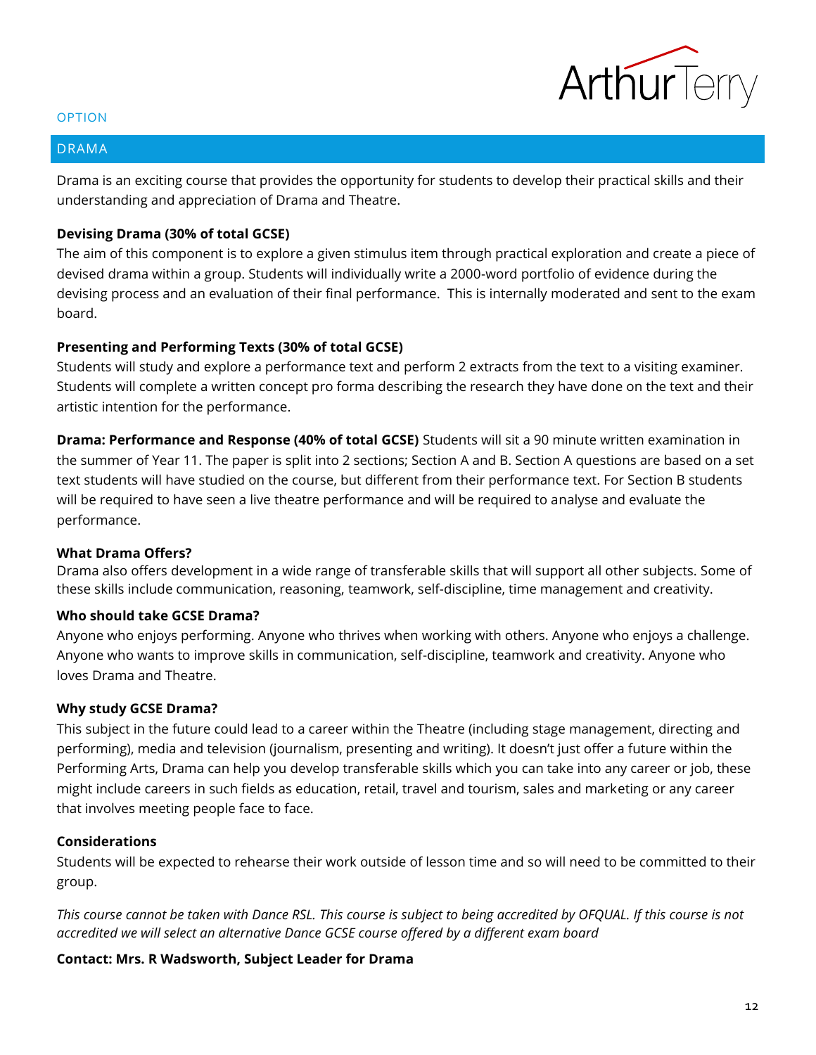

### <span id="page-11-0"></span>DRAMA

Drama is an exciting course that provides the opportunity for students to develop their practical skills and their understanding and appreciation of Drama and Theatre.

## **Devising Drama (30% of total GCSE)**

The aim of this component is to explore a given stimulus item through practical exploration and create a piece of devised drama within a group. Students will individually write a 2000-word portfolio of evidence during the devising process and an evaluation of their final performance. This is internally moderated and sent to the exam board.

## **Presenting and Performing Texts (30% of total GCSE)**

Students will study and explore a performance text and perform 2 extracts from the text to a visiting examiner. Students will complete a written concept pro forma describing the research they have done on the text and their artistic intention for the performance.

**Drama: Performance and Response (40% of total GCSE)** Students will sit a 90 minute written examination in the summer of Year 11. The paper is split into 2 sections; Section A and B. Section A questions are based on a set text students will have studied on the course, but different from their performance text. For Section B students will be required to have seen a live theatre performance and will be required to analyse and evaluate the performance.

## **What Drama Offers?**

Drama also offers development in a wide range of transferable skills that will support all other subjects. Some of these skills include communication, reasoning, teamwork, self-discipline, time management and creativity.

## **Who should take GCSE Drama?**

Anyone who enjoys performing. Anyone who thrives when working with others. Anyone who enjoys a challenge. Anyone who wants to improve skills in communication, self-discipline, teamwork and creativity. Anyone who loves Drama and Theatre.

## **Why study GCSE Drama?**

This subject in the future could lead to a career within the Theatre (including stage management, directing and performing), media and television (journalism, presenting and writing). It doesn't just offer a future within the Performing Arts, Drama can help you develop transferable skills which you can take into any career or job, these might include careers in such fields as education, retail, travel and tourism, sales and marketing or any career that involves meeting people face to face.

## **Considerations**

Students will be expected to rehearse their work outside of lesson time and so will need to be committed to their group.

*This course cannot be taken with Dance RSL. This course is subject to being accredited by OFQUAL. If this course is not accredited we will select an alternative Dance GCSE course offered by a different exam board*

## **Contact: Mrs. R Wadsworth, Subject Leader for Drama**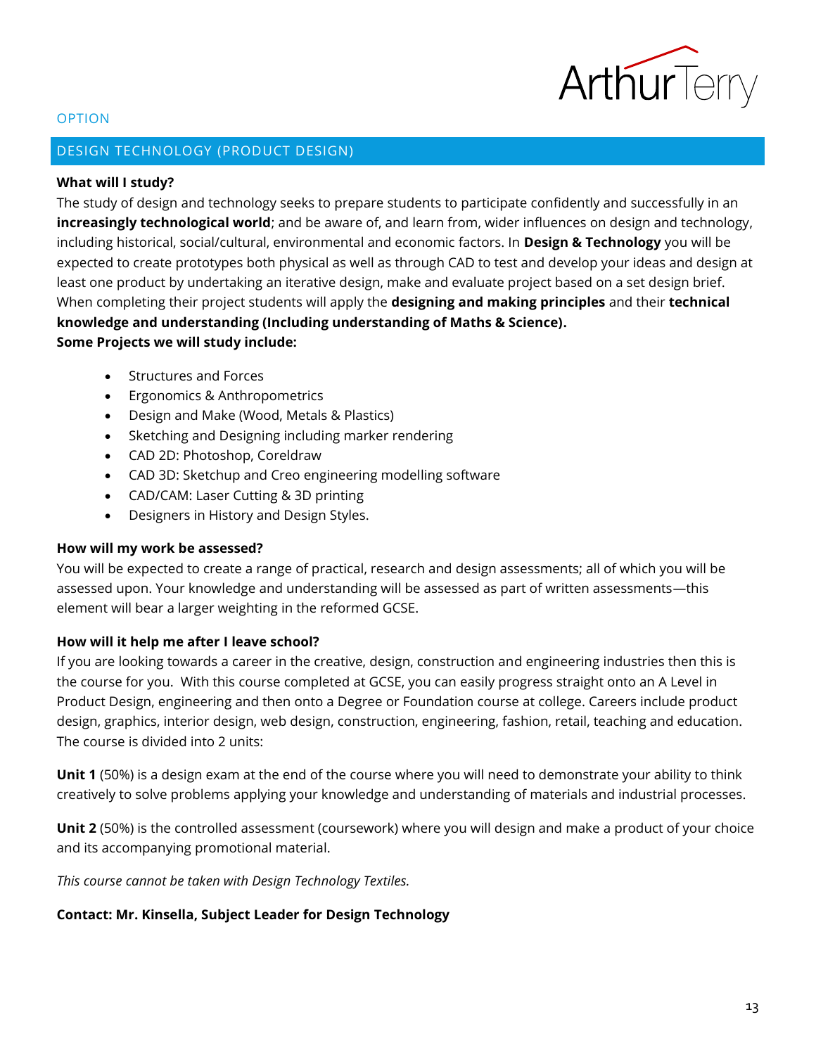

## <span id="page-12-0"></span>DESIGN TECHNOLOGY (PRODUCT DESIGN)

## **What will I study?**

The study of design and technology seeks to prepare students to participate confidently and successfully in an **increasingly technological world**; and be aware of, and learn from, wider influences on design and technology, including historical, social/cultural, environmental and economic factors. In **Design & Technology** you will be expected to create prototypes both physical as well as through CAD to test and develop your ideas and design at least one product by undertaking an iterative design, make and evaluate project based on a set design brief. When completing their project students will apply the **designing and making principles** and their **technical knowledge and understanding (Including understanding of Maths & Science). Some Projects we will study include:**

- Structures and Forces
- Ergonomics & Anthropometrics
- Design and Make (Wood, Metals & Plastics)
- Sketching and Designing including marker rendering
- CAD 2D: Photoshop, Coreldraw
- CAD 3D: Sketchup and Creo engineering modelling software
- CAD/CAM: Laser Cutting & 3D printing
- Designers in History and Design Styles.

## **How will my work be assessed?**

You will be expected to create a range of practical, research and design assessments; all of which you will be assessed upon. Your knowledge and understanding will be assessed as part of written assessments—this element will bear a larger weighting in the reformed GCSE.

## **How will it help me after I leave school?**

If you are looking towards a career in the creative, design, construction and engineering industries then this is the course for you. With this course completed at GCSE, you can easily progress straight onto an A Level in Product Design, engineering and then onto a Degree or Foundation course at college. Careers include product design, graphics, interior design, web design, construction, engineering, fashion, retail, teaching and education. The course is divided into 2 units:

**Unit 1** (50%) is a design exam at the end of the course where you will need to demonstrate your ability to think creatively to solve problems applying your knowledge and understanding of materials and industrial processes.

**Unit 2** (50%) is the controlled assessment (coursework) where you will design and make a product of your choice and its accompanying promotional material.

*This course cannot be taken with Design Technology Textiles.*

## **Contact: Mr. Kinsella, Subject Leader for Design Technology**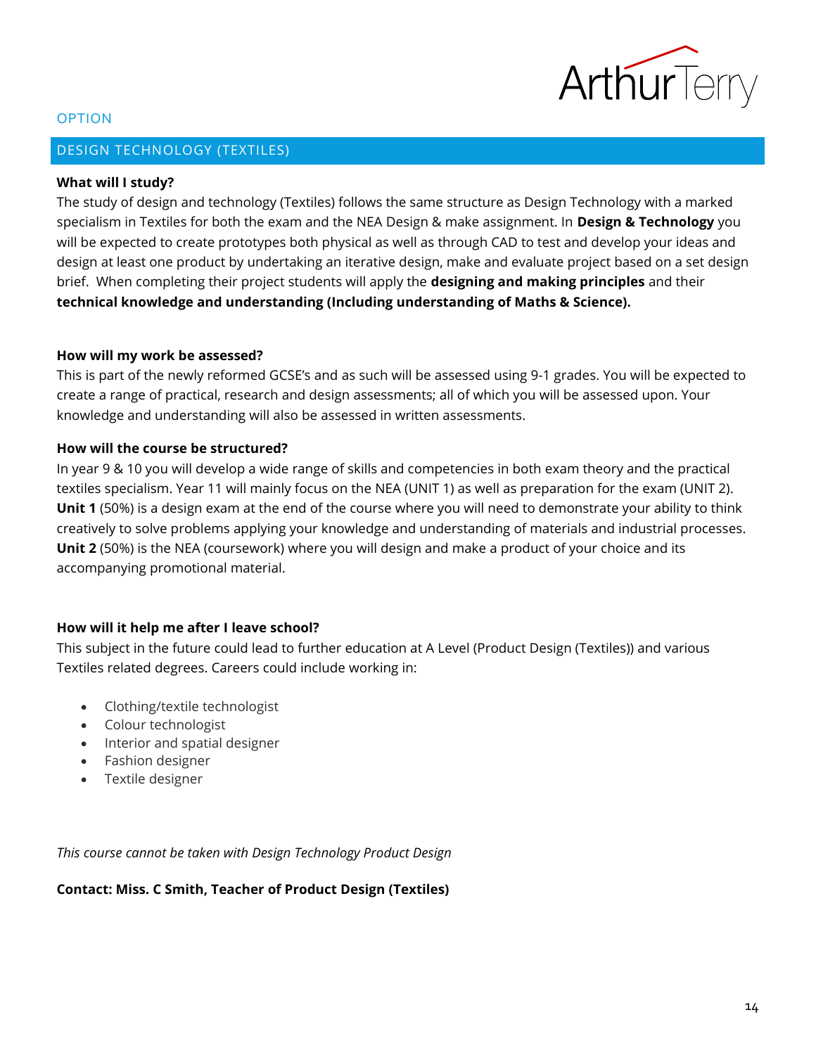

## <span id="page-13-0"></span>DESIGN TECHNOLOGY (TEXTILES)

#### **What will I study?**

The study of design and technology (Textiles) follows the same structure as Design Technology with a marked specialism in Textiles for both the exam and the NEA Design & make assignment. In **Design & Technology** you will be expected to create prototypes both physical as well as through CAD to test and develop your ideas and design at least one product by undertaking an iterative design, make and evaluate project based on a set design brief. When completing their project students will apply the **designing and making principles** and their **technical knowledge and understanding (Including understanding of Maths & Science).** 

#### **How will my work be assessed?**

This is part of the newly reformed GCSE's and as such will be assessed using 9-1 grades. You will be expected to create a range of practical, research and design assessments; all of which you will be assessed upon. Your knowledge and understanding will also be assessed in written assessments.

## **How will the course be structured?**

In year 9 & 10 you will develop a wide range of skills and competencies in both exam theory and the practical textiles specialism. Year 11 will mainly focus on the NEA (UNIT 1) as well as preparation for the exam (UNIT 2). **Unit 1** (50%) is a design exam at the end of the course where you will need to demonstrate your ability to think creatively to solve problems applying your knowledge and understanding of materials and industrial processes. **Unit 2** (50%) is the NEA (coursework) where you will design and make a product of your choice and its accompanying promotional material.

## **How will it help me after I leave school?**

This subject in the future could lead to further education at A Level (Product Design (Textiles)) and various Textiles related degrees. Careers could include working in:

- [Clothing/textile technologist](https://www.prospects.ac.uk/job-profiles/clothing-textile-technologist)
- [Colour technologist](https://www.prospects.ac.uk/job-profiles/colour-technologist)
- [Interior and spatial designer](https://www.prospects.ac.uk/job-profiles/interior-and-spatial-designer)
- [Fashion designer](https://www.prospects.ac.uk/job-profiles/fashion-designer)
- Textile designer

*This course cannot be taken with Design Technology Product Design*

**Contact: Miss. C Smith, Teacher of Product Design (Textiles)**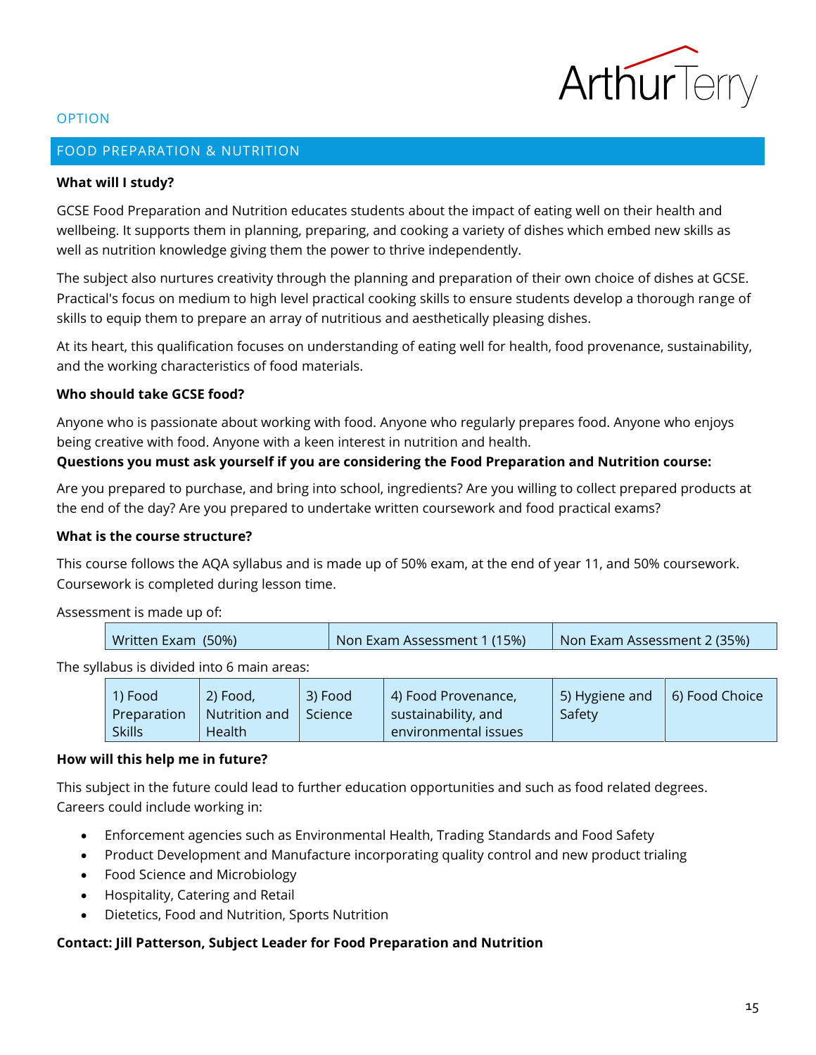

## <span id="page-14-0"></span>FOOD PREPARATION & NUTRITION

## **What will I study?**

GCSE Food Preparation and Nutrition educates students about the impact of eating well on their health and wellbeing. It supports them in planning, preparing, and cooking a variety of dishes which embed new skills as well as nutrition knowledge giving them the power to thrive independently.

The subject also nurtures creativity through the planning and preparation of their own choice of dishes at GCSE. Practical's focus on medium to high level practical cooking skills to ensure students develop a thorough range of skills to equip them to prepare an array of nutritious and aesthetically pleasing dishes.

At its heart, this qualification focuses on understanding of eating well for health, food provenance, sustainability, and the working characteristics of food materials.

#### **Who should take GCSE food?**

Anyone who is passionate about working with food. Anyone who regularly prepares food. Anyone who enjoys being creative with food. Anyone with a keen interest in nutrition and health.

## **Questions you must ask yourself if you are considering the Food Preparation and Nutrition course:**

Are you prepared to purchase, and bring into school, ingredients? Are you willing to collect prepared products at the end of the day? Are you prepared to undertake written coursework and food practical exams?

#### **What is the course structure?**

This course follows the AQA syllabus and is made up of 50% exam, at the end of year 11, and 50% coursework. Coursework is completed during lesson time.

Assessment is made up of:

| Non Exam Assessment 1 (15%)<br>Written Exam (50%)<br>Non Exam Assessment 2 (35%) |
|----------------------------------------------------------------------------------|
|----------------------------------------------------------------------------------|

The syllabus is divided into 6 main areas:

| 1) Food       | $(2)$ Food,          | 3) Food        | 4) Food Provenance,  | 5) Hygiene and | 6) Food Choice |
|---------------|----------------------|----------------|----------------------|----------------|----------------|
| Preparation   | $\mid$ Nutrition and | <b>Science</b> | sustainability, and  | Safety         |                |
| <b>Skills</b> | Health               |                | environmental issues |                |                |

## **How will this help me in future?**

This subject in the future could lead to further education opportunities and such as food related degrees. Careers could include working in:

- Enforcement agencies such as Environmental Health, Trading Standards and Food Safety
- Product Development and Manufacture incorporating quality control and new product trialing
- Food Science and Microbiology
- Hospitality, Catering and Retail
- Dietetics, Food and Nutrition, Sports Nutrition

## **Contact: Jill Patterson, Subject Leader for Food Preparation and Nutrition**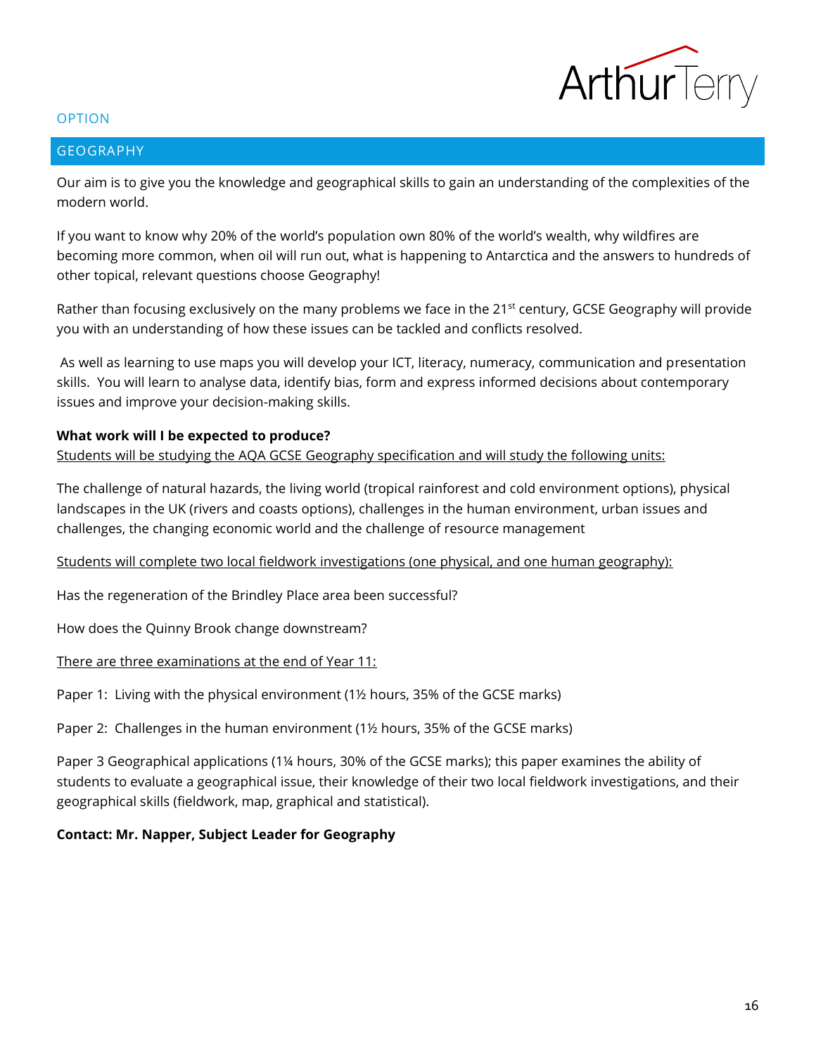

#### <span id="page-15-0"></span>GEOGRAPHY

Our aim is to give you the knowledge and geographical skills to gain an understanding of the complexities of the modern world.

If you want to know why 20% of the world's population own 80% of the world's wealth, why wildfires are becoming more common, when oil will run out, what is happening to Antarctica and the answers to hundreds of other topical, relevant questions choose Geography!

Rather than focusing exclusively on the many problems we face in the 21<sup>st</sup> century, GCSE Geography will provide you with an understanding of how these issues can be tackled and conflicts resolved.

As well as learning to use maps you will develop your ICT, literacy, numeracy, communication and presentation skills. You will learn to analyse data, identify bias, form and express informed decisions about contemporary issues and improve your decision-making skills.

## **What work will I be expected to produce?**

Students will be studying the AQA GCSE Geography specification and will study the following units:

The challenge of natural hazards, the living world (tropical rainforest and cold environment options), physical landscapes in the UK (rivers and coasts options), challenges in the human environment, urban issues and challenges, the changing economic world and the challenge of resource management

Students will complete two local fieldwork investigations (one physical, and one human geography):

Has the regeneration of the Brindley Place area been successful?

How does the Quinny Brook change downstream?

There are three examinations at the end of Year 11:

Paper 1: Living with the physical environment (1½ hours, 35% of the GCSE marks)

Paper 2: Challenges in the human environment (1½ hours, 35% of the GCSE marks)

Paper 3 Geographical applications (1¼ hours, 30% of the GCSE marks); this paper examines the ability of students to evaluate a geographical issue, their knowledge of their two local fieldwork investigations, and their geographical skills (fieldwork, map, graphical and statistical).

## **Contact: Mr. Napper, Subject Leader for Geography**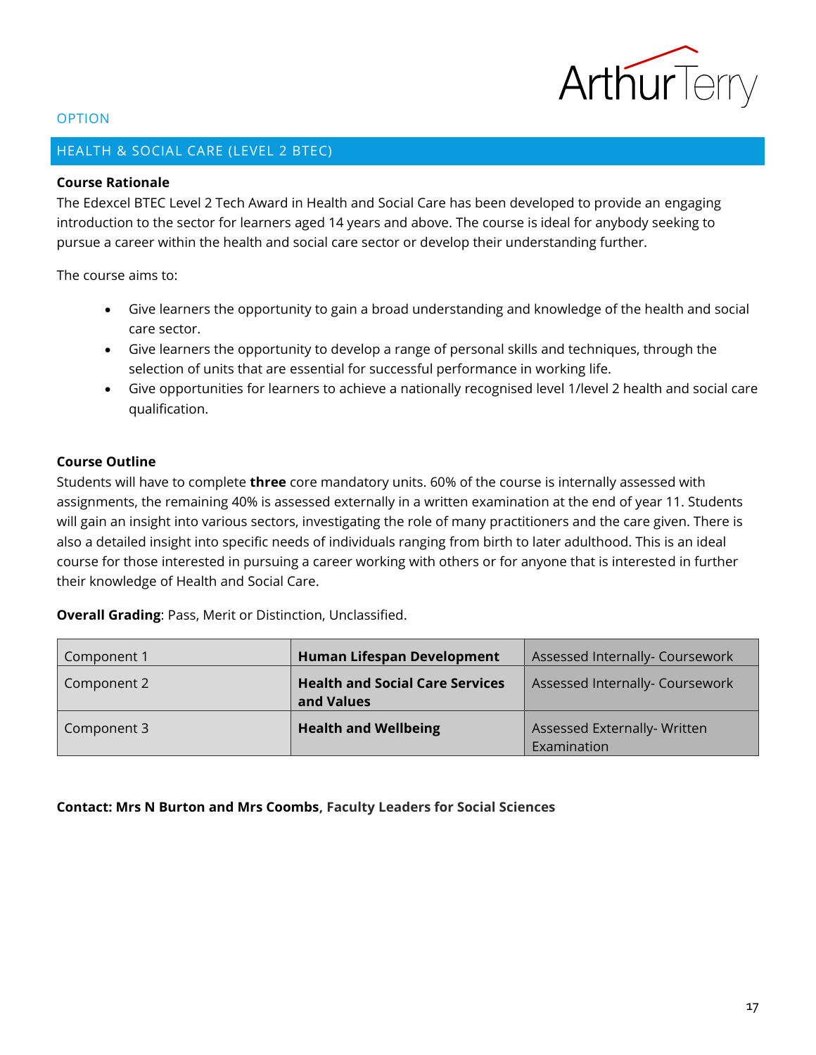

## <span id="page-16-0"></span>HEALTH & SOCIAL CARE (LEVEL 2 BTEC)

## **Course Rationale**

The Edexcel BTEC Level 2 Tech Award in Health and Social Care has been developed to provide an engaging introduction to the sector for learners aged 14 years and above. The course is ideal for anybody seeking to pursue a career within the health and social care sector or develop their understanding further.

The course aims to:

- Give learners the opportunity to gain a broad understanding and knowledge of the health and social care sector.
- Give learners the opportunity to develop a range of personal skills and techniques, through the selection of units that are essential for successful performance in working life.
- Give opportunities for learners to achieve a nationally recognised level 1/level 2 health and social care qualification.

## **Course Outline**

Students will have to complete **three** core mandatory units. 60% of the course is internally assessed with assignments, the remaining 40% is assessed externally in a written examination at the end of year 11. Students will gain an insight into various sectors, investigating the role of many practitioners and the care given. There is also a detailed insight into specific needs of individuals ranging from birth to later adulthood. This is an ideal course for those interested in pursuing a career working with others or for anyone that is interested in further their knowledge of Health and Social Care.

**Overall Grading**: Pass, Merit or Distinction, Unclassified.

| Component 1 | <b>Human Lifespan Development</b>      | Assessed Internally- Coursework |
|-------------|----------------------------------------|---------------------------------|
| Component 2 | <b>Health and Social Care Services</b> | Assessed Internally- Coursework |
|             | and Values                             |                                 |
| Component 3 | <b>Health and Wellbeing</b>            | Assessed Externally- Written    |
|             |                                        | Examination                     |

**Contact: Mrs N Burton and Mrs Coombs, Faculty Leaders for Social Sciences**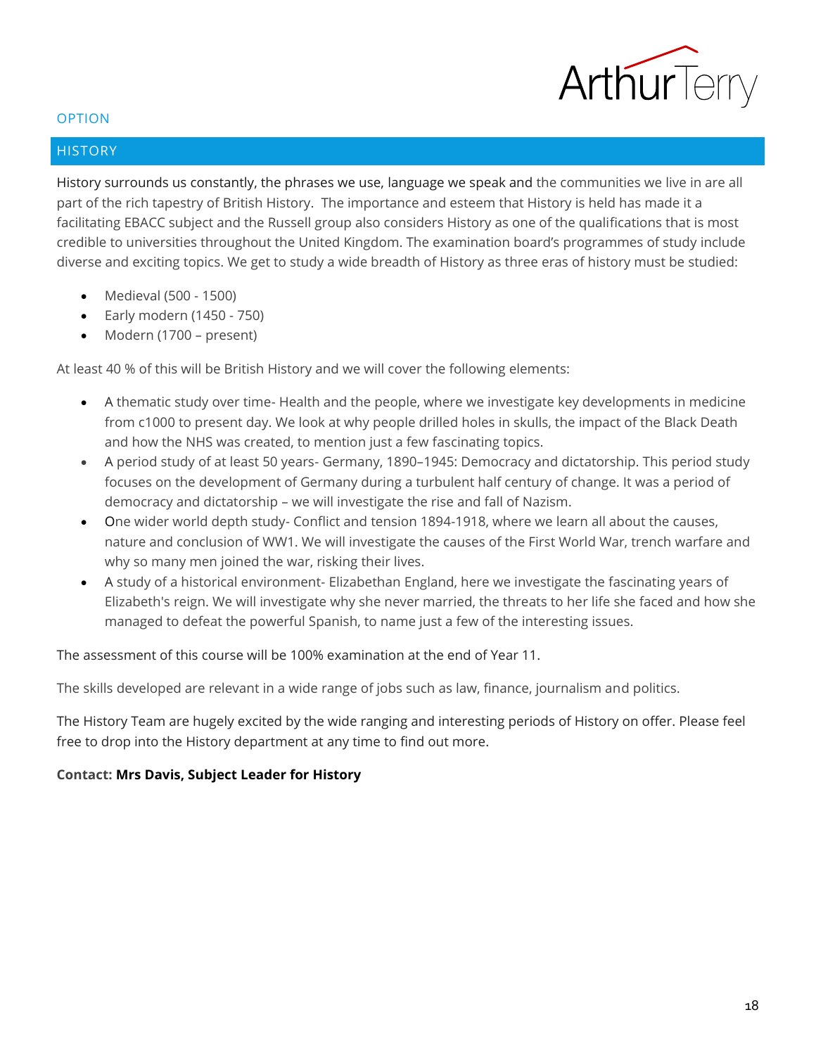

## <span id="page-17-0"></span>**HISTORY**

History surrounds us constantly, the phrases we use, language we speak and the communities we live in are all part of the rich tapestry of British History. The importance and esteem that History is held has made it a facilitating EBACC subject and the Russell group also considers History as one of the qualifications that is most credible to universities throughout the United Kingdom. The examination board's programmes of study include diverse and exciting topics. We get to study a wide breadth of History as three eras of history must be studied:

- Medieval (500 1500)
- Early modern (1450 750)
- Modern (1700 present)

At least 40 % of this will be British History and we will cover the following elements:

- A thematic study over time- Health and the people, where we investigate key developments in medicine from c1000 to present day. We look at why people drilled holes in skulls, the impact of the Black Death and how the NHS was created, to mention just a few fascinating topics.
- A period study of at least 50 years- Germany, 1890–1945: Democracy and dictatorship. This period study focuses on the development of Germany during a turbulent half century of change. It was a period of democracy and dictatorship – we will investigate the rise and fall of Nazism.
- One wider world depth study- Conflict and tension 1894-1918, where we learn all about the causes, nature and conclusion of WW1. We will investigate the causes of the First World War, trench warfare and why so many men joined the war, risking their lives.
- A study of a historical environment- Elizabethan England, here we investigate the fascinating years of Elizabeth's reign. We will investigate why she never married, the threats to her life she faced and how she managed to defeat the powerful Spanish, to name just a few of the interesting issues.

The assessment of this course will be 100% examination at the end of Year 11.

The skills developed are relevant in a wide range of jobs such as law, finance, journalism and politics.

The History Team are hugely excited by the wide ranging and interesting periods of History on offer. Please feel free to drop into the History department at any time to find out more.

## **Contact: Mrs Davis, Subject Leader for History**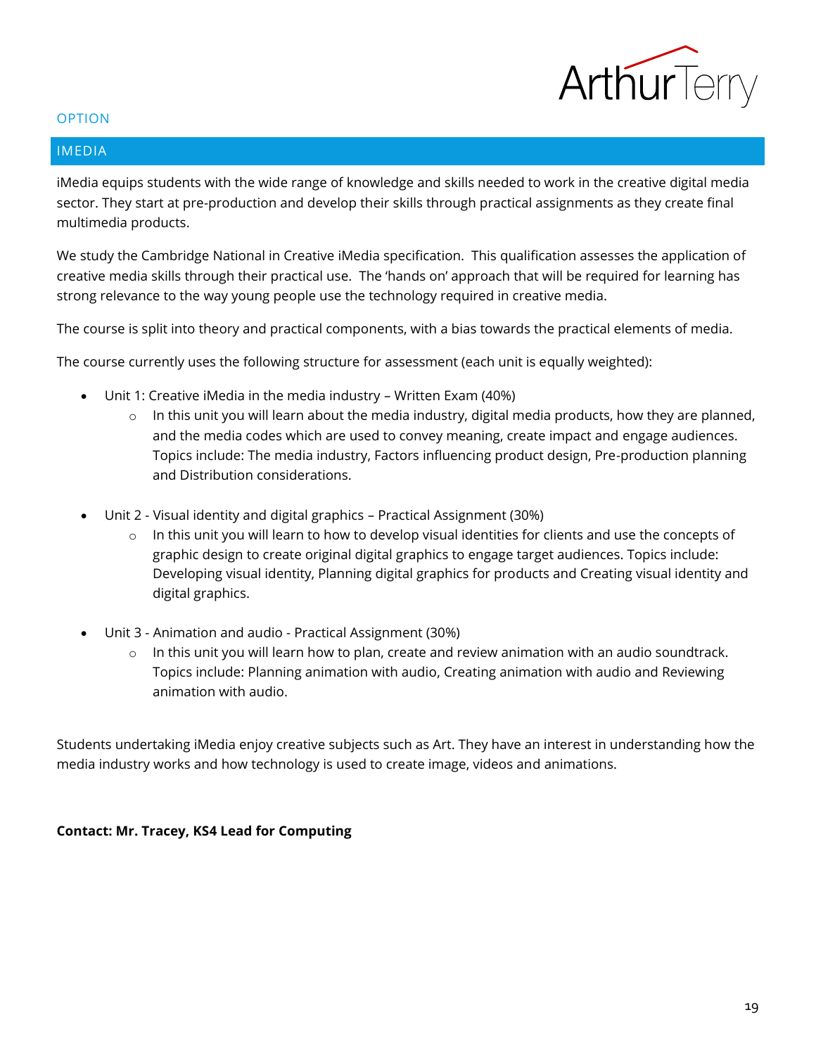

#### <span id="page-18-0"></span>IMEDIA

iMedia equips students with the wide range of knowledge and skills needed to work in the creative digital media sector. They start at pre-production and develop their skills through practical assignments as they create final multimedia products.

We study the Cambridge National in Creative iMedia specification. This qualification assesses the application of creative media skills through their practical use. The 'hands on' approach that will be required for learning has strong relevance to the way young people use the technology required in creative media.

The course is split into theory and practical components, with a bias towards the practical elements of media.

The course currently uses the following structure for assessment (each unit is equally weighted):

- Unit 1: Creative iMedia in the media industry Written Exam (40%)
	- $\circ$  In this unit you will learn about the media industry, digital media products, how they are planned, and the media codes which are used to convey meaning, create impact and engage audiences. Topics include: The media industry, Factors influencing product design, Pre-production planning and Distribution considerations.
- Unit 2 Visual identity and digital graphics Practical Assignment (30%)
	- $\circ$  In this unit you will learn to how to develop visual identities for clients and use the concepts of graphic design to create original digital graphics to engage target audiences. Topics include: Developing visual identity, Planning digital graphics for products and Creating visual identity and digital graphics.
- Unit 3 Animation and audio Practical Assignment (30%)
	- $\circ$  In this unit you will learn how to plan, create and review animation with an audio soundtrack. Topics include: Planning animation with audio, Creating animation with audio and Reviewing animation with audio.

Students undertaking iMedia enjoy creative subjects such as Art. They have an interest in understanding how the media industry works and how technology is used to create image, videos and animations.

## **Contact: Mr. Tracey, KS4 Lead for Computing**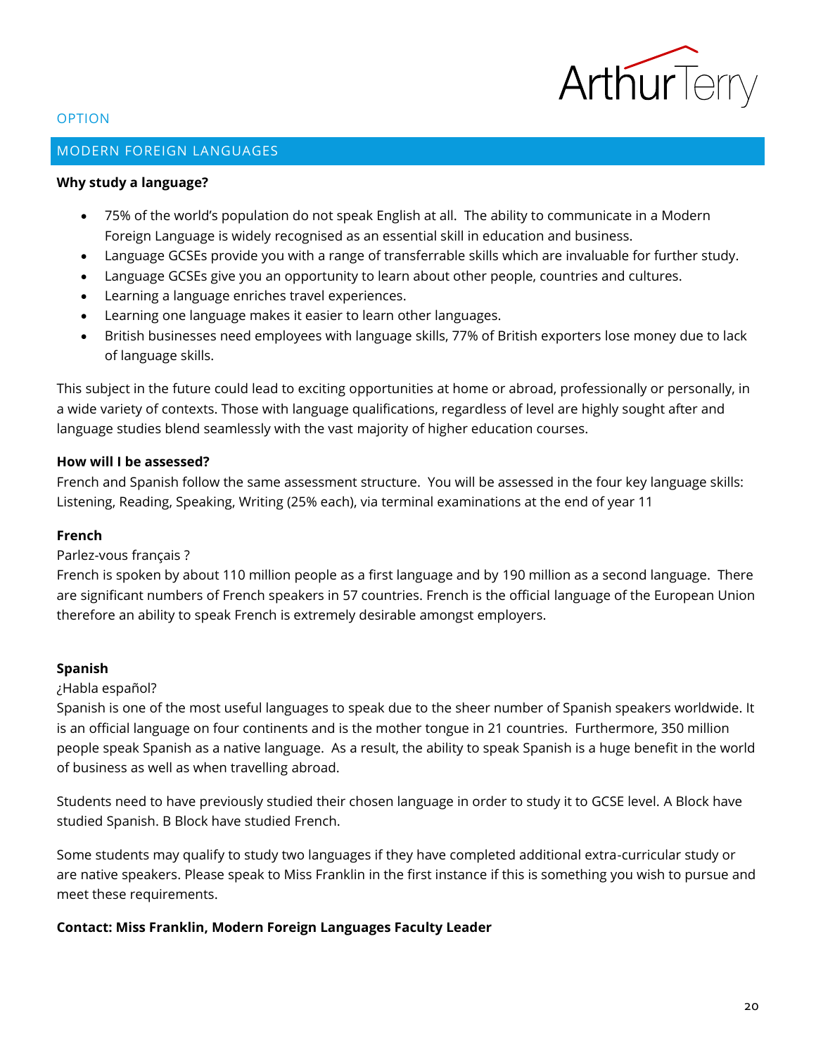

## <span id="page-19-0"></span>MODERN FOREIGN LANGUAGES

#### **Why study a language?**

- 75% of the world's population do not speak English at all. The ability to communicate in a Modern Foreign Language is widely recognised as an essential skill in education and business.
- Language GCSEs provide you with a range of transferrable skills which are invaluable for further study.
- Language GCSEs give you an opportunity to learn about other people, countries and cultures.
- Learning a language enriches travel experiences.
- Learning one language makes it easier to learn other languages.
- British businesses need employees with language skills, 77% of British exporters lose money due to lack of language skills.

This subject in the future could lead to exciting opportunities at home or abroad, professionally or personally, in a wide variety of contexts. Those with language qualifications, regardless of level are highly sought after and language studies blend seamlessly with the vast majority of higher education courses.

## **How will I be assessed?**

French and Spanish follow the same assessment structure. You will be assessed in the four key language skills: Listening, Reading, Speaking, Writing (25% each), via terminal examinations at the end of year 11

#### **French**

## Parlez-vous français ?

French is spoken by about 110 million people as a first language and by 190 million as a second language. There are significant numbers of French speakers in 57 countries. French is the official language of the European Union therefore an ability to speak French is extremely desirable amongst employers.

## **Spanish**

#### ¿Habla español?

Spanish is one of the most useful languages to speak due to the sheer number of Spanish speakers worldwide. It is an official language on four continents and is the mother tongue in 21 countries. Furthermore, 350 million people speak Spanish as a native language. As a result, the ability to speak Spanish is a huge benefit in the world of business as well as when travelling abroad.

Students need to have previously studied their chosen language in order to study it to GCSE level. A Block have studied Spanish. B Block have studied French.

Some students may qualify to study two languages if they have completed additional extra-curricular study or are native speakers. Please speak to Miss Franklin in the first instance if this is something you wish to pursue and meet these requirements.

## **Contact: Miss Franklin, Modern Foreign Languages Faculty Leader**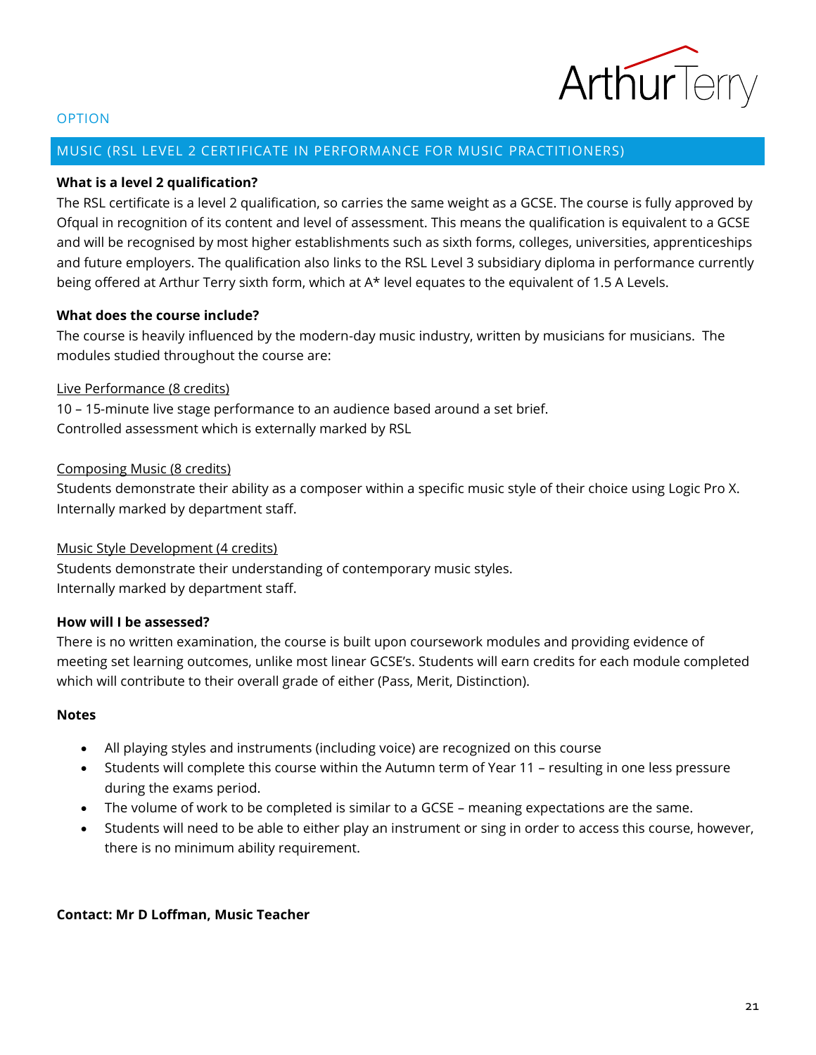

#### <span id="page-20-0"></span>MUSIC (RSL LEVEL 2 CERTIFICATE IN PERFORMANCE FOR MUSIC PRACTITIONERS)

## **What is a level 2 qualification?**

The RSL certificate is a level 2 qualification, so carries the same weight as a GCSE. The course is fully approved by Ofqual in recognition of its content and level of assessment. This means the qualification is equivalent to a GCSE and will be recognised by most higher establishments such as sixth forms, colleges, universities, apprenticeships and future employers. The qualification also links to the RSL Level 3 subsidiary diploma in performance currently being offered at Arthur Terry sixth form, which at A\* level equates to the equivalent of 1.5 A Levels.

### **What does the course include?**

The course is heavily influenced by the modern-day music industry, written by musicians for musicians. The modules studied throughout the course are:

## Live Performance (8 credits)

10 – 15-minute live stage performance to an audience based around a set brief. Controlled assessment which is externally marked by RSL

#### Composing Music (8 credits)

Students demonstrate their ability as a composer within a specific music style of their choice using Logic Pro X. Internally marked by department staff.

## Music Style Development (4 credits)

Students demonstrate their understanding of contemporary music styles. Internally marked by department staff.

#### **How will I be assessed?**

There is no written examination, the course is built upon coursework modules and providing evidence of meeting set learning outcomes, unlike most linear GCSE's. Students will earn credits for each module completed which will contribute to their overall grade of either (Pass, Merit, Distinction).

#### **Notes**

- All playing styles and instruments (including voice) are recognized on this course
- Students will complete this course within the Autumn term of Year 11 resulting in one less pressure during the exams period.
- The volume of work to be completed is similar to a GCSE meaning expectations are the same.
- Students will need to be able to either play an instrument or sing in order to access this course, however, there is no minimum ability requirement.

#### **Contact: Mr D Loffman, Music Teacher**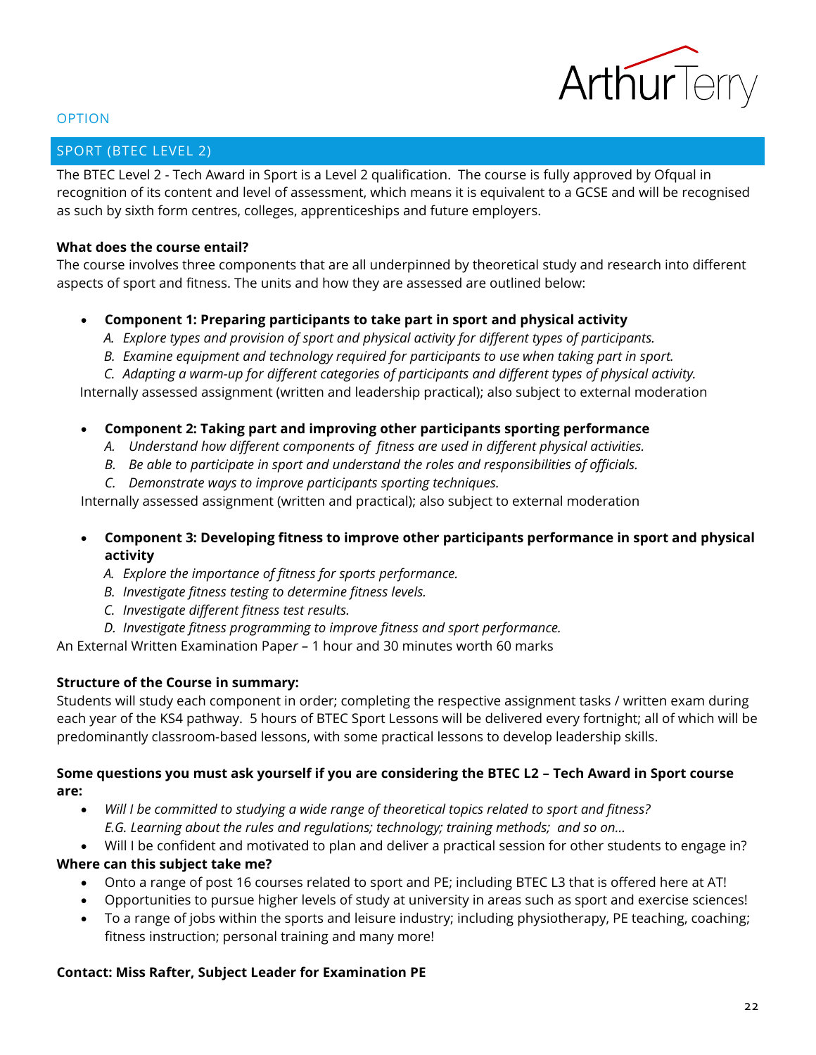

## <span id="page-21-0"></span>SPORT (BTEC LEVEL 2)

The BTEC Level 2 - Tech Award in Sport is a Level 2 qualification. The course is fully approved by Ofqual in recognition of its content and level of assessment, which means it is equivalent to a GCSE and will be recognised as such by sixth form centres, colleges, apprenticeships and future employers.

#### **What does the course entail?**

The course involves three components that are all underpinned by theoretical study and research into different aspects of sport and fitness. The units and how they are assessed are outlined below:

## • **Component 1: Preparing participants to take part in sport and physical activity**

- *A. Explore types and provision of sport and physical activity for different types of participants.*
- *B. Examine equipment and technology required for participants to use when taking part in sport.*
- *C. Adapting a warm-up for different categories of participants and different types of physical activity.*

Internally assessed assignment (written and leadership practical); also subject to external moderation

## • **Component 2: Taking part and improving other participants sporting performance**

- *A. Understand how different components of fitness are used in different physical activities.*
- *B. Be able to participate in sport and understand the roles and responsibilities of officials.*
- *C. Demonstrate ways to improve participants sporting techniques.*

Internally assessed assignment (written and practical); also subject to external moderation

- **Component 3: Developing fitness to improve other participants performance in sport and physical activity**
	- *A. Explore the importance of fitness for sports performance.*
	- *B. Investigate fitness testing to determine fitness levels.*
	- *C. Investigate different fitness test results.*
	- *D. Investigate fitness programming to improve fitness and sport performance.*

An External Written Examination Pape*r* – 1 hour and 30 minutes worth 60 marks

## **Structure of the Course in summary:**

Students will study each component in order; completing the respective assignment tasks / written exam during each year of the KS4 pathway. 5 hours of BTEC Sport Lessons will be delivered every fortnight; all of which will be predominantly classroom-based lessons, with some practical lessons to develop leadership skills.

## **Some questions you must ask yourself if you are considering the BTEC L2 – Tech Award in Sport course are:**

- *Will I be committed to studying a wide range of theoretical topics related to sport and fitness? E.G. Learning about the rules and regulations; technology; training methods; and so on…*
- Will I be confident and motivated to plan and deliver a practical session for other students to engage in?

## **Where can this subject take me?**

- Onto a range of post 16 courses related to sport and PE; including BTEC L3 that is offered here at AT!
- Opportunities to pursue higher levels of study at university in areas such as sport and exercise sciences!
- To a range of jobs within the sports and leisure industry; including physiotherapy, PE teaching, coaching; fitness instruction; personal training and many more!

## **Contact: Miss Rafter, Subject Leader for Examination PE**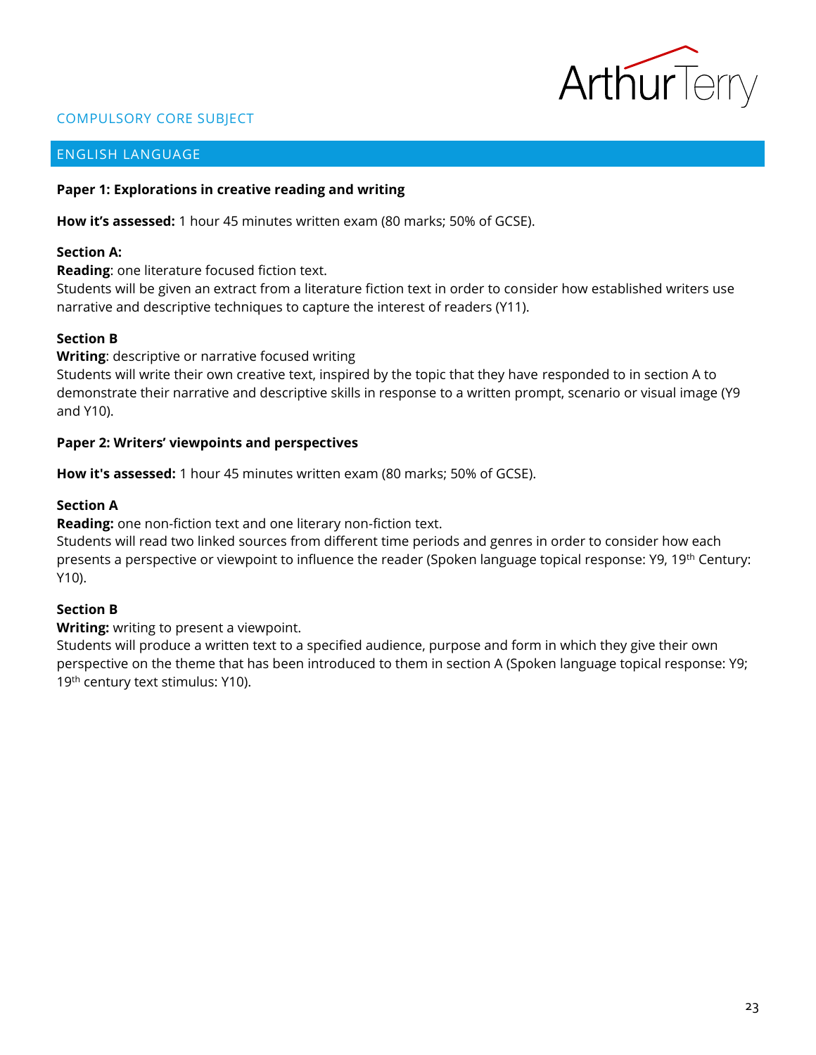

## COMPULSORY CORE SUBJECT

## <span id="page-22-0"></span>ENGLISH LANGUAGE

#### **Paper 1: Explorations in creative reading and writing**

**How it's assessed:** 1 hour 45 minutes written exam (80 marks; 50% of GCSE).

#### **Section A:**

**Reading**: one literature focused fiction text.

Students will be given an extract from a literature fiction text in order to consider how established writers use narrative and descriptive techniques to capture the interest of readers (Y11).

## **Section B**

**Writing**: descriptive or narrative focused writing

Students will write their own creative text, inspired by the topic that they have responded to in section A to demonstrate their narrative and descriptive skills in response to a written prompt, scenario or visual image (Y9 and Y10).

#### **Paper 2: Writers' viewpoints and perspectives**

**How it's assessed:** 1 hour 45 minutes written exam (80 marks; 50% of GCSE).

## **Section A**

**Reading:** one non-fiction text and one literary non-fiction text.

Students will read two linked sources from different time periods and genres in order to consider how each presents a perspective or viewpoint to influence the reader (Spoken language topical response: Y9, 19<sup>th</sup> Century: Y10).

## **Section B**

**Writing:** writing to present a viewpoint.

Students will produce a written text to a specified audience, purpose and form in which they give their own perspective on the theme that has been introduced to them in section A (Spoken language topical response: Y9; 19<sup>th</sup> century text stimulus: Y10).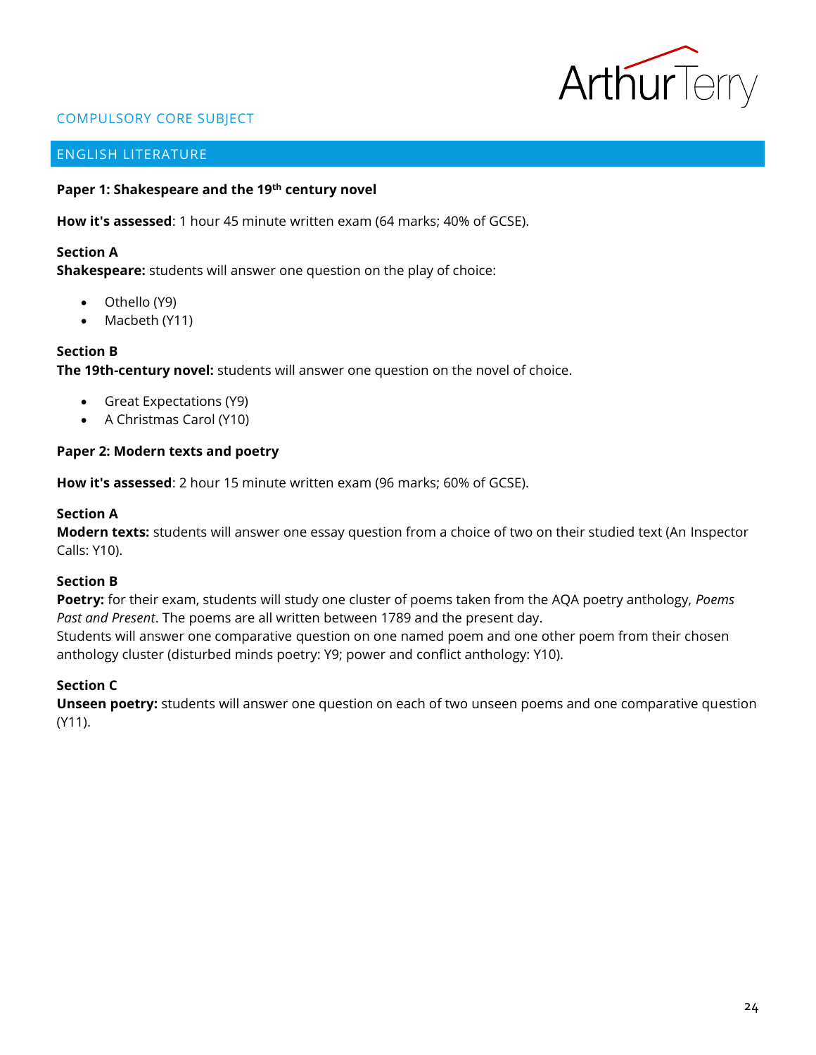

## COMPULSORY CORE SUBJECT

## <span id="page-23-0"></span>ENGLISH LITERATURE

## **Paper 1: Shakespeare and the 19th century novel**

**How it's assessed**: 1 hour 45 minute written exam (64 marks; 40% of GCSE).

#### **Section A**

**Shakespeare:** students will answer one question on the play of choice:

- Othello (Y9)
- Macbeth (Y11)

## **Section B**

**The 19th-century novel:** students will answer one question on the novel of choice.

- Great Expectations (Y9)
- A Christmas Carol (Y10)

#### **Paper 2: Modern texts and poetry**

**How it's assessed**: 2 hour 15 minute written exam (96 marks; 60% of GCSE).

#### **Section A**

**Modern texts:** students will answer one essay question from a choice of two on their studied text (An Inspector Calls: Y10).

#### **Section B**

**Poetry:** for their exam, students will study one cluster of poems taken from the AQA poetry anthology, *Poems Past and Present*. The poems are all written between 1789 and the present day.

Students will answer one comparative question on one named poem and one other poem from their chosen anthology cluster (disturbed minds poetry: Y9; power and conflict anthology: Y10).

## **Section C**

**Unseen poetry:** students will answer one question on each of two unseen poems and one comparative question (Y11).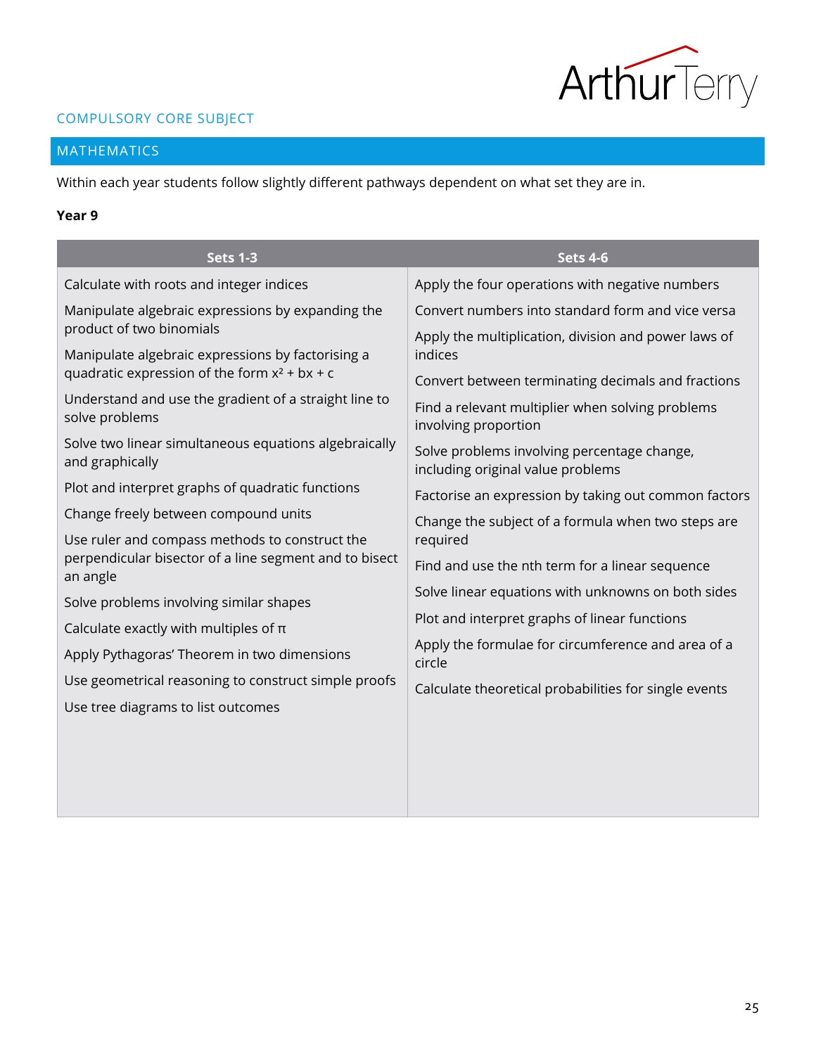

## COMPULSORY CORE SUBJECT

## <span id="page-24-0"></span>MATHEMATICS

Within each year students follow slightly different pathways dependent on what set they are in.

## **Year 9**

| <b>Sets 1-3</b>                                                                                      | <b>Sets 4-6</b>                                                 |  |
|------------------------------------------------------------------------------------------------------|-----------------------------------------------------------------|--|
| Calculate with roots and integer indices                                                             | Apply the four operations with negative numbers                 |  |
| Manipulate algebraic expressions by expanding the                                                    | Convert numbers into standard form and vice versa               |  |
| product of two binomials                                                                             | Apply the multiplication, division and power laws of<br>indices |  |
| Manipulate algebraic expressions by factorising a<br>quadratic expression of the form $x^2 + bx + c$ | Convert between terminating decimals and fractions              |  |
| Understand and use the gradient of a straight line to                                                | Find a relevant multiplier when solving problems                |  |
| solve problems                                                                                       | involving proportion                                            |  |
| Solve two linear simultaneous equations algebraically<br>and graphically                             | Solve problems involving percentage change,                     |  |
| Plot and interpret graphs of quadratic functions                                                     | including original value problems                               |  |
| Change freely between compound units                                                                 | Factorise an expression by taking out common factors            |  |
| Use ruler and compass methods to construct the                                                       | Change the subject of a formula when two steps are<br>required  |  |
| perpendicular bisector of a line segment and to bisect<br>an angle                                   | Find and use the nth term for a linear sequence                 |  |
| Solve problems involving similar shapes                                                              | Solve linear equations with unknowns on both sides              |  |
| Calculate exactly with multiples of $\pi$                                                            | Plot and interpret graphs of linear functions                   |  |
| Apply Pythagoras' Theorem in two dimensions                                                          | Apply the formulae for circumference and area of a<br>circle    |  |
| Use geometrical reasoning to construct simple proofs                                                 | Calculate theoretical probabilities for single events           |  |
| Use tree diagrams to list outcomes                                                                   |                                                                 |  |
|                                                                                                      |                                                                 |  |
|                                                                                                      |                                                                 |  |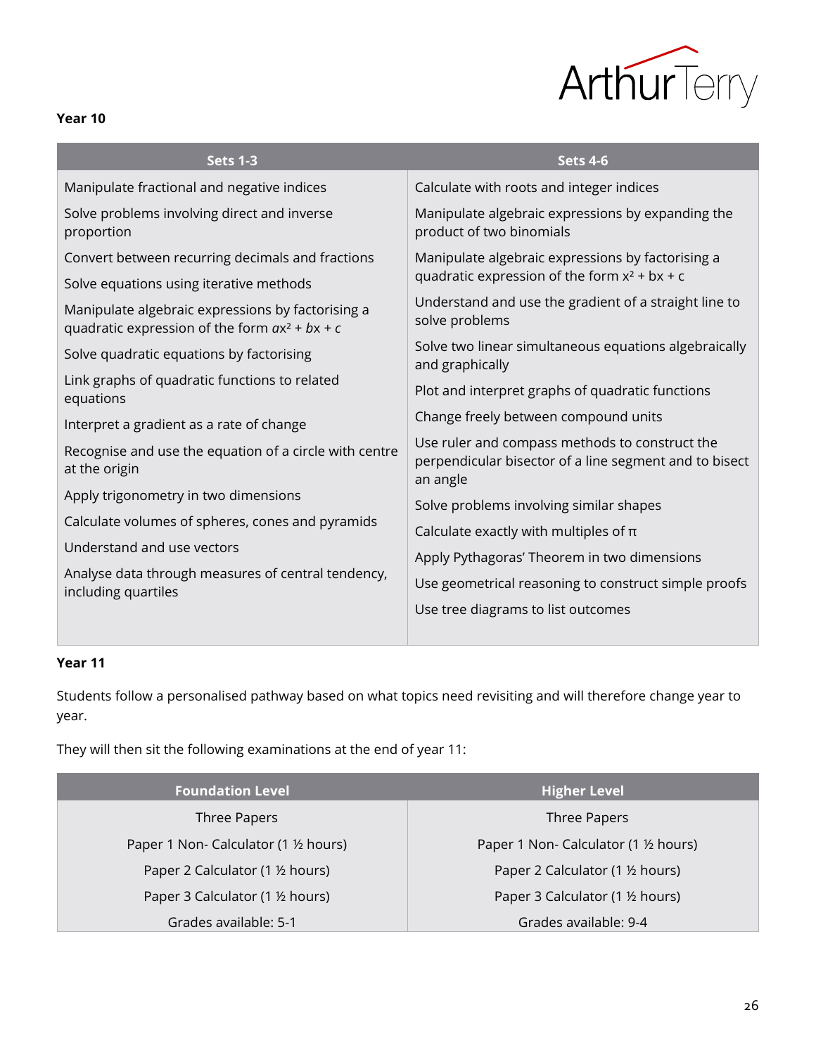

| . .<br>۰,<br>M. |  |
|-----------------|--|
|-----------------|--|

| <b>Sets 1-3</b>                                                                                       | <b>Sets 4-6</b>                                                                                                      |
|-------------------------------------------------------------------------------------------------------|----------------------------------------------------------------------------------------------------------------------|
| Manipulate fractional and negative indices                                                            | Calculate with roots and integer indices                                                                             |
| Solve problems involving direct and inverse<br>proportion                                             | Manipulate algebraic expressions by expanding the<br>product of two binomials                                        |
| Convert between recurring decimals and fractions                                                      | Manipulate algebraic expressions by factorising a                                                                    |
| Solve equations using iterative methods                                                               | quadratic expression of the form $x^2 + bx + c$                                                                      |
| Manipulate algebraic expressions by factorising a<br>quadratic expression of the form $ax^2 + bx + c$ | Understand and use the gradient of a straight line to<br>solve problems                                              |
| Solve quadratic equations by factorising                                                              | Solve two linear simultaneous equations algebraically<br>and graphically                                             |
| Link graphs of quadratic functions to related<br>equations                                            | Plot and interpret graphs of quadratic functions                                                                     |
| Interpret a gradient as a rate of change                                                              | Change freely between compound units                                                                                 |
| Recognise and use the equation of a circle with centre<br>at the origin                               | Use ruler and compass methods to construct the<br>perpendicular bisector of a line segment and to bisect<br>an angle |
| Apply trigonometry in two dimensions                                                                  | Solve problems involving similar shapes                                                                              |
| Calculate volumes of spheres, cones and pyramids                                                      | Calculate exactly with multiples of $\pi$                                                                            |
| Understand and use vectors                                                                            |                                                                                                                      |
| Analyse data through measures of central tendency,                                                    | Apply Pythagoras' Theorem in two dimensions                                                                          |
| including quartiles                                                                                   | Use geometrical reasoning to construct simple proofs                                                                 |
|                                                                                                       | Use tree diagrams to list outcomes                                                                                   |

## **Year 11**

**Contract** 

Students follow a personalised pathway based on what topics need revisiting and will therefore change year to year.

They will then sit the following examinations at the end of year 11:

| <b>Foundation Level</b>             | <b>Higher Level</b>                 |
|-------------------------------------|-------------------------------------|
| Three Papers                        | Three Papers                        |
| Paper 1 Non- Calculator (1 ½ hours) | Paper 1 Non- Calculator (1 ½ hours) |
| Paper 2 Calculator (1 ½ hours)      | Paper 2 Calculator (1 1/2 hours)    |
| Paper 3 Calculator (1 ½ hours)      | Paper 3 Calculator (1 1/2 hours)    |
| Grades available: 5-1               | Grades available: 9-4               |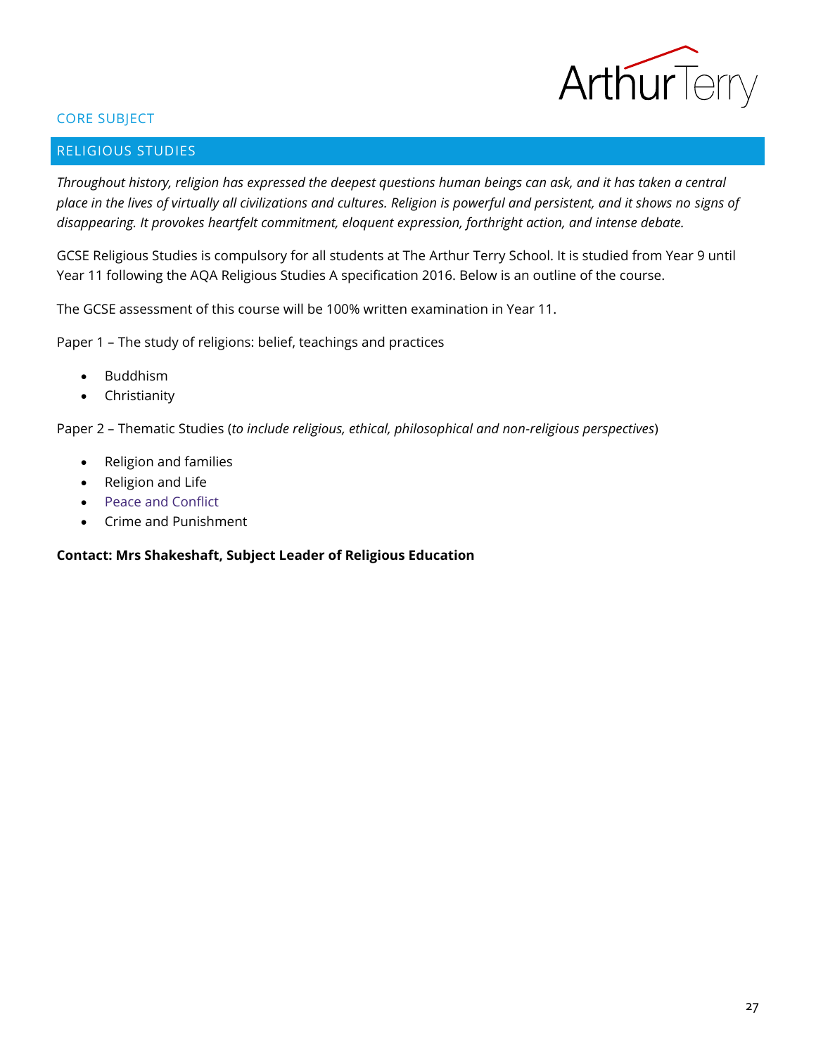

## CORE SUBJECT

## <span id="page-26-0"></span>RELIGIOUS STUDIES

*Throughout history, religion has expressed the deepest questions human beings can ask, and it has taken a central place in the lives of virtually all civilizations and cultures. Religion is powerful and persistent, and it shows no signs of disappearing. It provokes heartfelt commitment, eloquent expression, forthright action, and intense debate.* 

GCSE Religious Studies is compulsory for all students at The Arthur Terry School. It is studied from Year 9 until Year 11 following the AQA Religious Studies A specification 2016. Below is an outline of the course.

The GCSE assessment of this course will be 100% written examination in Year 11.

Paper 1 – The study of religions: belief, teachings and practices

- Buddhism
- Christianity

Paper 2 – Thematic Studies (*to include religious, ethical, philosophical and non-religious perspectives*)

- Religion and families
- Religion and Life
- Peace and Conflict
- Crime and Punishment

## **Contact: Mrs Shakeshaft, Subject Leader of Religious Education**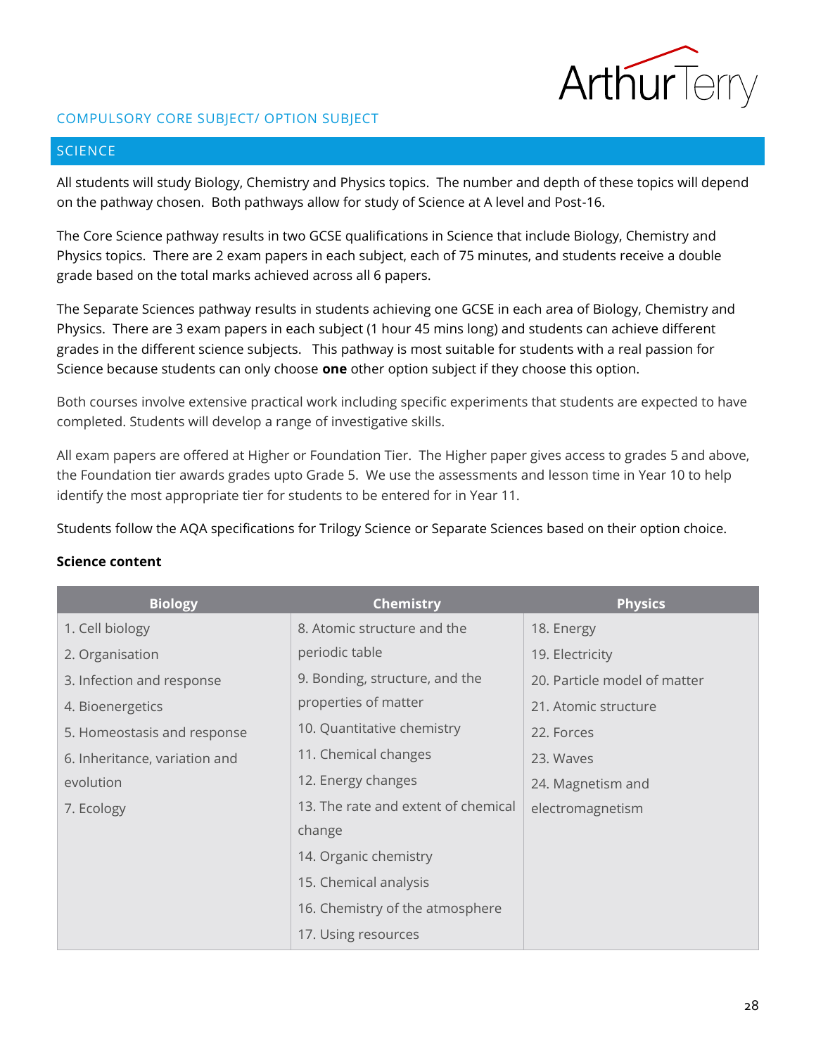

## COMPULSORY CORE SUBJECT/ OPTION SUBJECT

## <span id="page-27-0"></span>SCIENCE

All students will study Biology, Chemistry and Physics topics. The number and depth of these topics will depend on the pathway chosen. Both pathways allow for study of Science at A level and Post-16.

The Core Science pathway results in two GCSE qualifications in Science that include Biology, Chemistry and Physics topics. There are 2 exam papers in each subject, each of 75 minutes, and students receive a double grade based on the total marks achieved across all 6 papers.

The Separate Sciences pathway results in students achieving one GCSE in each area of Biology, Chemistry and Physics. There are 3 exam papers in each subject (1 hour 45 mins long) and students can achieve different grades in the different science subjects. This pathway is most suitable for students with a real passion for Science because students can only choose **one** other option subject if they choose this option.

Both courses involve extensive practical work including specific experiments that students are expected to have completed. Students will develop a range of investigative skills.

All exam papers are offered at Higher or Foundation Tier. The Higher paper gives access to grades 5 and above, the Foundation tier awards grades upto Grade 5. We use the assessments and lesson time in Year 10 to help identify the most appropriate tier for students to be entered for in Year 11.

Students follow the AQA specifications for Trilogy Science or Separate Sciences based on their option choice.

## **Science content**

| <b>Biology</b>                | <b>Chemistry</b>                    | <b>Physics</b>               |
|-------------------------------|-------------------------------------|------------------------------|
| 1. Cell biology               | 8. Atomic structure and the         | 18. Energy                   |
| 2. Organisation               | periodic table                      | 19. Electricity              |
| 3. Infection and response     | 9. Bonding, structure, and the      | 20. Particle model of matter |
| 4. Bioenergetics              | properties of matter                | 21. Atomic structure         |
| 5. Homeostasis and response   | 10. Quantitative chemistry          | 22. Forces                   |
| 6. Inheritance, variation and | 11. Chemical changes                | 23. Waves                    |
| evolution                     | 12. Energy changes                  | 24. Magnetism and            |
| 7. Ecology                    | 13. The rate and extent of chemical | electromagnetism             |
|                               | change                              |                              |
|                               | 14. Organic chemistry               |                              |
|                               | 15. Chemical analysis               |                              |
|                               | 16. Chemistry of the atmosphere     |                              |
|                               | 17. Using resources                 |                              |